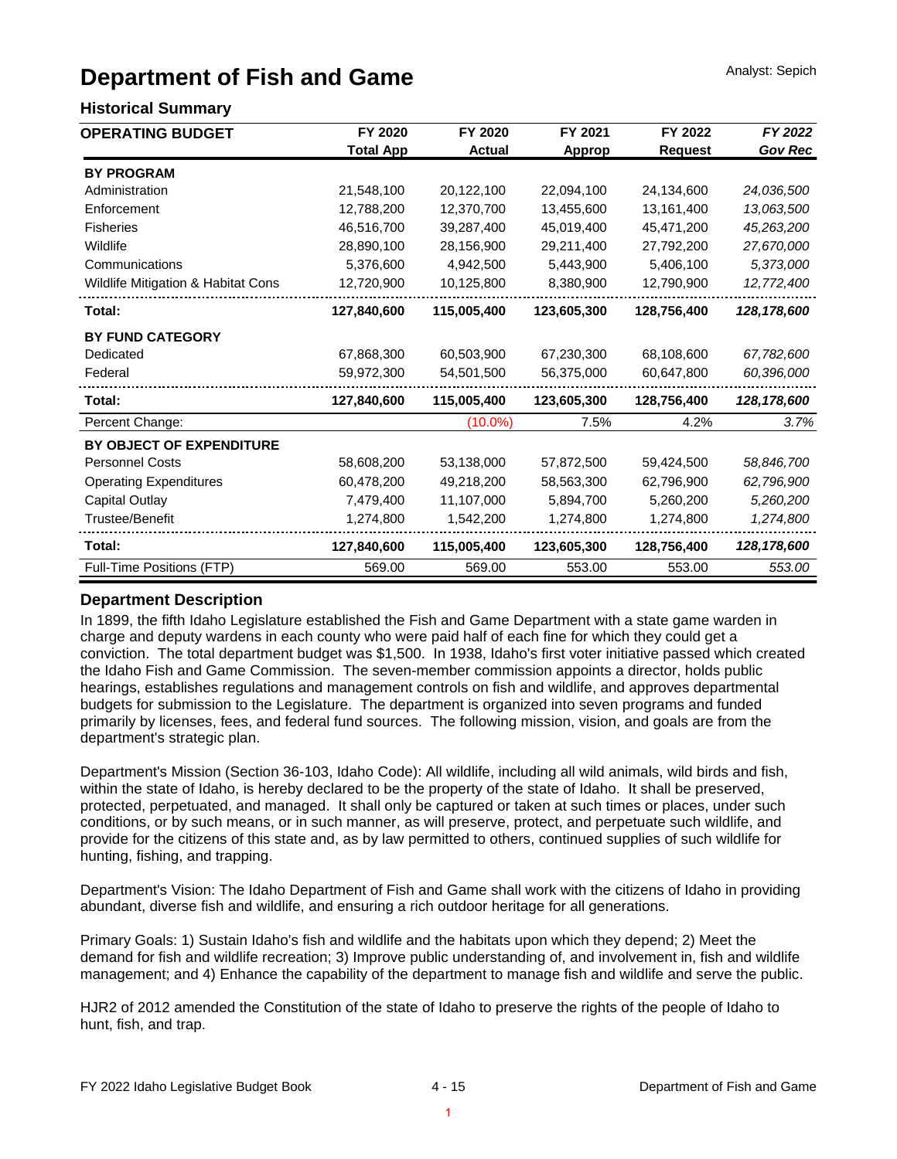# **Department of Fish and Game**

### **Historical Summary**

| <b>OPERATING BUDGET</b>            | FY 2020          | FY 2020       | FY 2021     | FY 2022        | FY 2022        |
|------------------------------------|------------------|---------------|-------------|----------------|----------------|
|                                    | <b>Total App</b> | <b>Actual</b> | Approp      | <b>Request</b> | <b>Gov Rec</b> |
| <b>BY PROGRAM</b>                  |                  |               |             |                |                |
| Administration                     | 21,548,100       | 20,122,100    | 22,094,100  | 24,134,600     | 24,036,500     |
| Enforcement                        | 12,788,200       | 12,370,700    | 13,455,600  | 13,161,400     | 13,063,500     |
| <b>Fisheries</b>                   | 46,516,700       | 39,287,400    | 45,019,400  | 45,471,200     | 45,263,200     |
| Wildlife                           | 28,890,100       | 28,156,900    | 29,211,400  | 27,792,200     | 27,670,000     |
| Communications                     | 5,376,600        | 4,942,500     | 5,443,900   | 5,406,100      | 5,373,000      |
| Wildlife Mitigation & Habitat Cons | 12,720,900       | 10,125,800    | 8,380,900   | 12,790,900     | 12,772,400     |
| Total:                             | 127,840,600      | 115,005,400   | 123,605,300 | 128,756,400    | 128,178,600    |
| <b>BY FUND CATEGORY</b>            |                  |               |             |                |                |
| Dedicated                          | 67,868,300       | 60,503,900    | 67,230,300  | 68,108,600     | 67,782,600     |
| Federal                            | 59,972,300       | 54,501,500    | 56,375,000  | 60,647,800     | 60,396,000     |
| Total:                             | 127,840,600      | 115,005,400   | 123,605,300 | 128,756,400    | 128, 178, 600  |
| Percent Change:                    |                  | $(10.0\%)$    | 7.5%        | 4.2%           | 3.7%           |
| BY OBJECT OF EXPENDITURE           |                  |               |             |                |                |
| <b>Personnel Costs</b>             | 58,608,200       | 53,138,000    | 57,872,500  | 59,424,500     | 58,846,700     |
| <b>Operating Expenditures</b>      | 60,478,200       | 49,218,200    | 58,563,300  | 62,796,900     | 62,796,900     |
| <b>Capital Outlay</b>              | 7,479,400        | 11,107,000    | 5,894,700   | 5,260,200      | 5,260,200      |
| <b>Trustee/Benefit</b>             | 1,274,800        | 1,542,200     | 1,274,800   | 1,274,800      | 1,274,800      |
| Total:                             | 127,840,600      | 115,005,400   | 123,605,300 | 128,756,400    | 128,178,600    |
| Full-Time Positions (FTP)          | 569.00           | 569.00        | 553.00      | 553.00         | 553.00         |

#### **Department Description**

In 1899, the fifth Idaho Legislature established the Fish and Game Department with a state game warden in charge and deputy wardens in each county who were paid half of each fine for which they could get a conviction. The total department budget was \$1,500. In 1938, Idaho's first voter initiative passed which created the Idaho Fish and Game Commission. The seven-member commission appoints a director, holds public hearings, establishes regulations and management controls on fish and wildlife, and approves departmental budgets for submission to the Legislature. The department is organized into seven programs and funded primarily by licenses, fees, and federal fund sources. The following mission, vision, and goals are from the department's strategic plan.

Department's Mission (Section 36-103, Idaho Code): All wildlife, including all wild animals, wild birds and fish, within the state of Idaho, is hereby declared to be the property of the state of Idaho. It shall be preserved, protected, perpetuated, and managed. It shall only be captured or taken at such times or places, under such conditions, or by such means, or in such manner, as will preserve, protect, and perpetuate such wildlife, and provide for the citizens of this state and, as by law permitted to others, continued supplies of such wildlife for hunting, fishing, and trapping.

Department's Vision: The Idaho Department of Fish and Game shall work with the citizens of Idaho in providing abundant, diverse fish and wildlife, and ensuring a rich outdoor heritage for all generations.

Primary Goals: 1) Sustain Idaho's fish and wildlife and the habitats upon which they depend; 2) Meet the demand for fish and wildlife recreation; 3) Improve public understanding of, and involvement in, fish and wildlife management; and 4) Enhance the capability of the department to manage fish and wildlife and serve the public.

HJR2 of 2012 amended the Constitution of the state of Idaho to preserve the rights of the people of Idaho to hunt, fish, and trap.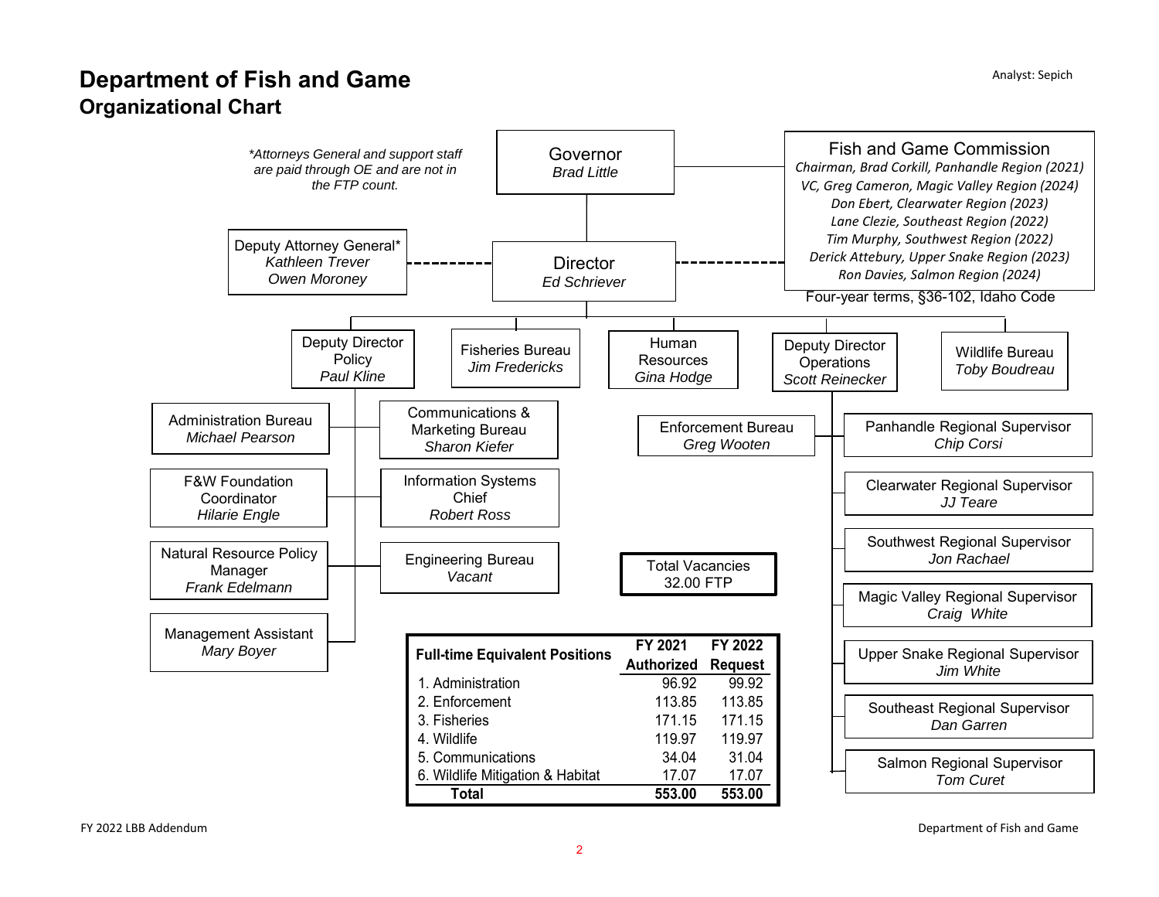# **Department of Fish and Game Organizational Chart**



Department of Fish and Game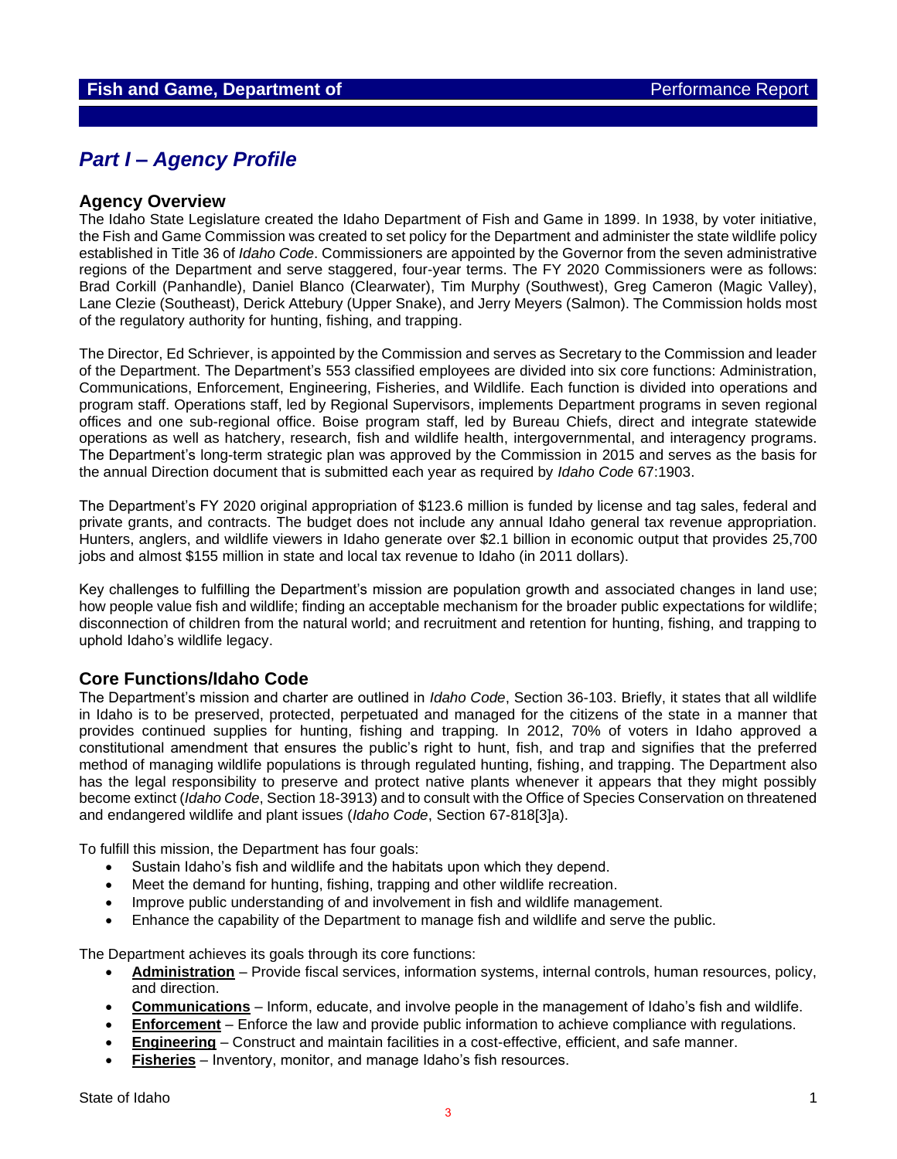## *Part I – Agency Profile*

### **Agency Overview**

The Idaho State Legislature created the Idaho Department of Fish and Game in 1899. In 1938, by voter initiative, the Fish and Game Commission was created to set policy for the Department and administer the state wildlife policy established in Title 36 of *Idaho Code*. Commissioners are appointed by the Governor from the seven administrative regions of the Department and serve staggered, four-year terms. The FY 2020 Commissioners were as follows: Brad Corkill (Panhandle), Daniel Blanco (Clearwater), Tim Murphy (Southwest), Greg Cameron (Magic Valley), Lane Clezie (Southeast), Derick Attebury (Upper Snake), and Jerry Meyers (Salmon). The Commission holds most of the regulatory authority for hunting, fishing, and trapping.

The Director, Ed Schriever, is appointed by the Commission and serves as Secretary to the Commission and leader of the Department. The Department's 553 classified employees are divided into six core functions: Administration, Communications, Enforcement, Engineering, Fisheries, and Wildlife. Each function is divided into operations and program staff. Operations staff, led by Regional Supervisors, implements Department programs in seven regional offices and one sub-regional office. Boise program staff, led by Bureau Chiefs, direct and integrate statewide operations as well as hatchery, research, fish and wildlife health, intergovernmental, and interagency programs. The Department's long-term strategic plan was approved by the Commission in 2015 and serves as the basis for the annual Direction document that is submitted each year as required by *Idaho Code* 67:1903.

The Department's FY 2020 original appropriation of \$123.6 million is funded by license and tag sales, federal and private grants, and contracts. The budget does not include any annual Idaho general tax revenue appropriation. Hunters, anglers, and wildlife viewers in Idaho generate over \$2.1 billion in economic output that provides 25,700 jobs and almost \$155 million in state and local tax revenue to Idaho (in 2011 dollars).

Key challenges to fulfilling the Department's mission are population growth and associated changes in land use; how people value fish and wildlife; finding an acceptable mechanism for the broader public expectations for wildlife; disconnection of children from the natural world; and recruitment and retention for hunting, fishing, and trapping to uphold Idaho's wildlife legacy.

### **Core Functions/Idaho Code**

The Department's mission and charter are outlined in *Idaho Code*, Section 36-103. Briefly, it states that all wildlife in Idaho is to be preserved, protected, perpetuated and managed for the citizens of the state in a manner that provides continued supplies for hunting, fishing and trapping. In 2012, 70% of voters in Idaho approved a constitutional amendment that ensures the public's right to hunt, fish, and trap and signifies that the preferred method of managing wildlife populations is through regulated hunting, fishing, and trapping. The Department also has the legal responsibility to preserve and protect native plants whenever it appears that they might possibly become extinct (*Idaho Code*, Section 18-3913) and to consult with the Office of Species Conservation on threatened and endangered wildlife and plant issues (*Idaho Code*, Section 67-818[3]a).

To fulfill this mission, the Department has four goals:

- Sustain Idaho's fish and wildlife and the habitats upon which they depend.
- Meet the demand for hunting, fishing, trapping and other wildlife recreation.
- Improve public understanding of and involvement in fish and wildlife management.
- Enhance the capability of the Department to manage fish and wildlife and serve the public.

The Department achieves its goals through its core functions:

- **Administration** Provide fiscal services, information systems, internal controls, human resources, policy, and direction.
- **Communications** Inform, educate, and involve people in the management of Idaho's fish and wildlife.
- **Enforcement** Enforce the law and provide public information to achieve compliance with regulations.
- **Engineering** Construct and maintain facilities in a cost-effective, efficient, and safe manner.
- **Fisheries** Inventory, monitor, and manage Idaho's fish resources.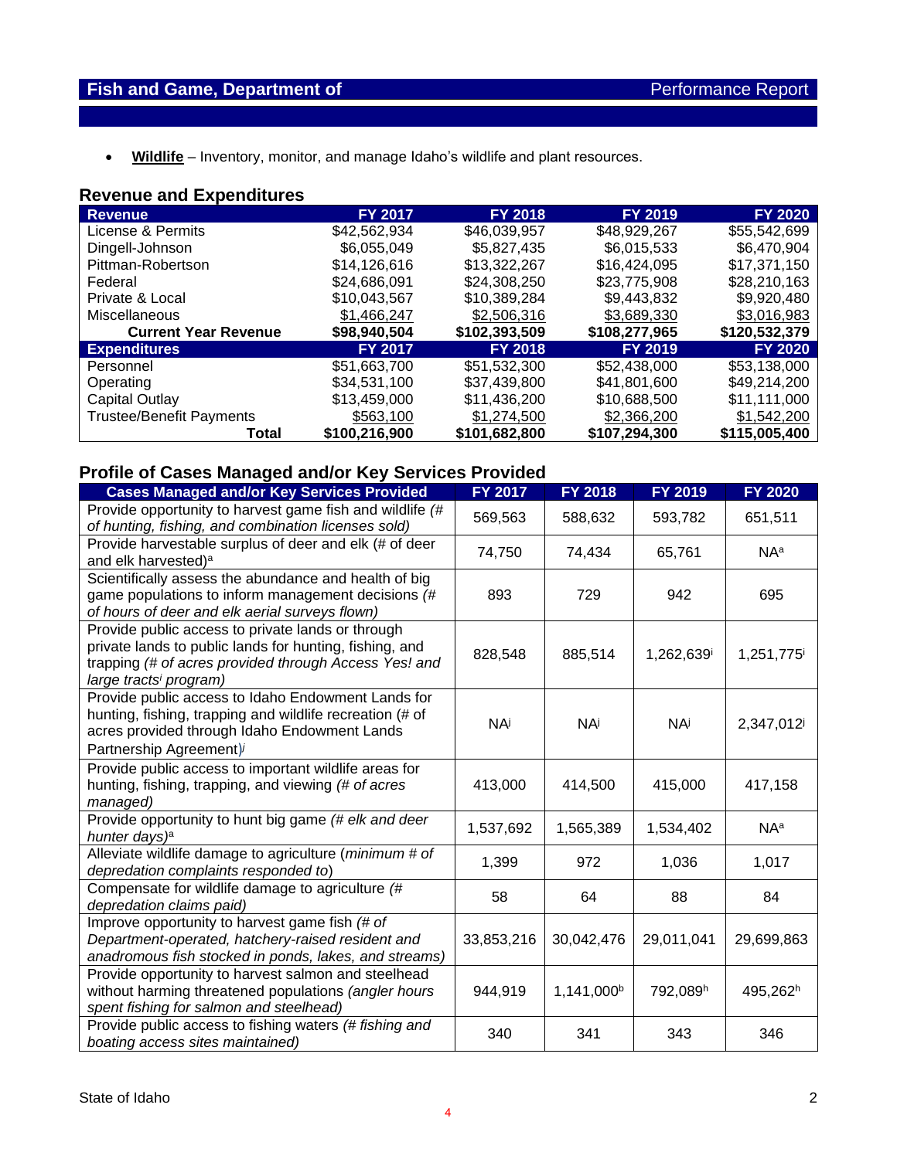• **Wildlife** – Inventory, monitor, and manage Idaho's wildlife and plant resources.

## **Revenue and Expenditures**

| <b>Revenue</b>                  | <b>FY 2017</b> | <b>FY 2018</b> | <b>FY 2019</b> | <b>FY 2020</b> |
|---------------------------------|----------------|----------------|----------------|----------------|
| License & Permits               | \$42,562,934   | \$46,039,957   | \$48,929,267   | \$55,542,699   |
| Dingell-Johnson                 | \$6,055,049    | \$5,827,435    | \$6,015,533    | \$6,470,904    |
| Pittman-Robertson               | \$14,126,616   | \$13,322,267   | \$16,424,095   | \$17,371,150   |
| Federal                         | \$24.686.091   | \$24,308,250   | \$23,775,908   | \$28,210,163   |
| Private & Local                 | \$10,043,567   | \$10,389,284   | \$9,443,832    | \$9,920,480    |
| Miscellaneous                   | \$1,466,247    | \$2,506,316    | \$3,689,330    | \$3,016,983    |
| <b>Current Year Revenue</b>     | \$98,940,504   | \$102,393,509  | \$108,277,965  | \$120,532,379  |
| <b>Expenditures</b>             | <b>FY 2017</b> | <b>FY 2018</b> | FY 2019        | <b>FY 2020</b> |
| Personnel                       | \$51,663,700   | \$51,532,300   | \$52,438,000   | \$53,138,000   |
| Operating                       | \$34,531,100   | \$37,439,800   | \$41,801,600   | \$49,214,200   |
| Capital Outlay                  | \$13,459,000   | \$11,436,200   | \$10,688,500   | \$11,111,000   |
| <b>Trustee/Benefit Payments</b> | \$563,100      | \$1,274,500    | \$2,366,200    | \$1,542,200    |
| Total                           | \$100,216,900  | \$101,682,800  | \$107,294,300  | \$115,005,400  |

## **Profile of Cases Managed and/or Key Services Provided**

| .<br><b>Cases Managed and/or Key Services Provided</b>                                                                                                                                                      | FY 2017    | <b>FY 2018</b> | FY 2019                | <b>FY 2020</b>         |
|-------------------------------------------------------------------------------------------------------------------------------------------------------------------------------------------------------------|------------|----------------|------------------------|------------------------|
| Provide opportunity to harvest game fish and wildlife (#<br>of hunting, fishing, and combination licenses sold)                                                                                             | 569,563    | 588,632        | 593,782                | 651,511                |
| Provide harvestable surplus of deer and elk (# of deer<br>and elk harvested) <sup>a</sup>                                                                                                                   | 74,750     | 74,434         | 65,761                 | NA <sup>a</sup>        |
| Scientifically assess the abundance and health of big<br>game populations to inform management decisions (#<br>of hours of deer and elk aerial surveys flown)                                               | 893        | 729            | 942                    | 695                    |
| Provide public access to private lands or through<br>private lands to public lands for hunting, fishing, and<br>trapping (# of acres provided through Access Yes! and<br>large tracts <sup>i</sup> program) | 828,548    | 885,514        | 1,262,639 <sup>i</sup> | 1,251,775 <sup>i</sup> |
| Provide public access to Idaho Endowment Lands for<br>hunting, fishing, trapping and wildlife recreation (# of<br>acres provided through Idaho Endowment Lands<br>Partnership Agreement)                    | <b>NA</b>  | <b>NA</b>      | <b>NA</b>              | 2,347,012              |
| Provide public access to important wildlife areas for<br>hunting, fishing, trapping, and viewing (# of acres<br>managed)                                                                                    | 413,000    | 414,500        | 415,000                | 417,158                |
| Provide opportunity to hunt big game (# elk and deer<br>hunter days) <sup>a</sup>                                                                                                                           | 1,537,692  | 1,565,389      | 1,534,402              | NA <sup>a</sup>        |
| Alleviate wildlife damage to agriculture (minimum # of<br>depredation complaints responded to)                                                                                                              | 1,399      | 972            | 1,036                  | 1,017                  |
| Compensate for wildlife damage to agriculture (#<br>depredation claims paid)                                                                                                                                | 58         | 64             | 88                     | 84                     |
| Improve opportunity to harvest game fish (# of<br>Department-operated, hatchery-raised resident and<br>anadromous fish stocked in ponds, lakes, and streams)                                                | 33,853,216 | 30,042,476     | 29,011,041             | 29,699,863             |
| Provide opportunity to harvest salmon and steelhead<br>without harming threatened populations (angler hours<br>spent fishing for salmon and steelhead)                                                      | 944,919    | 1,141,000b     | 792,089h               | 495,262h               |
| Provide public access to fishing waters (# fishing and<br>boating access sites maintained)                                                                                                                  | 340        | 341            | 343                    | 346                    |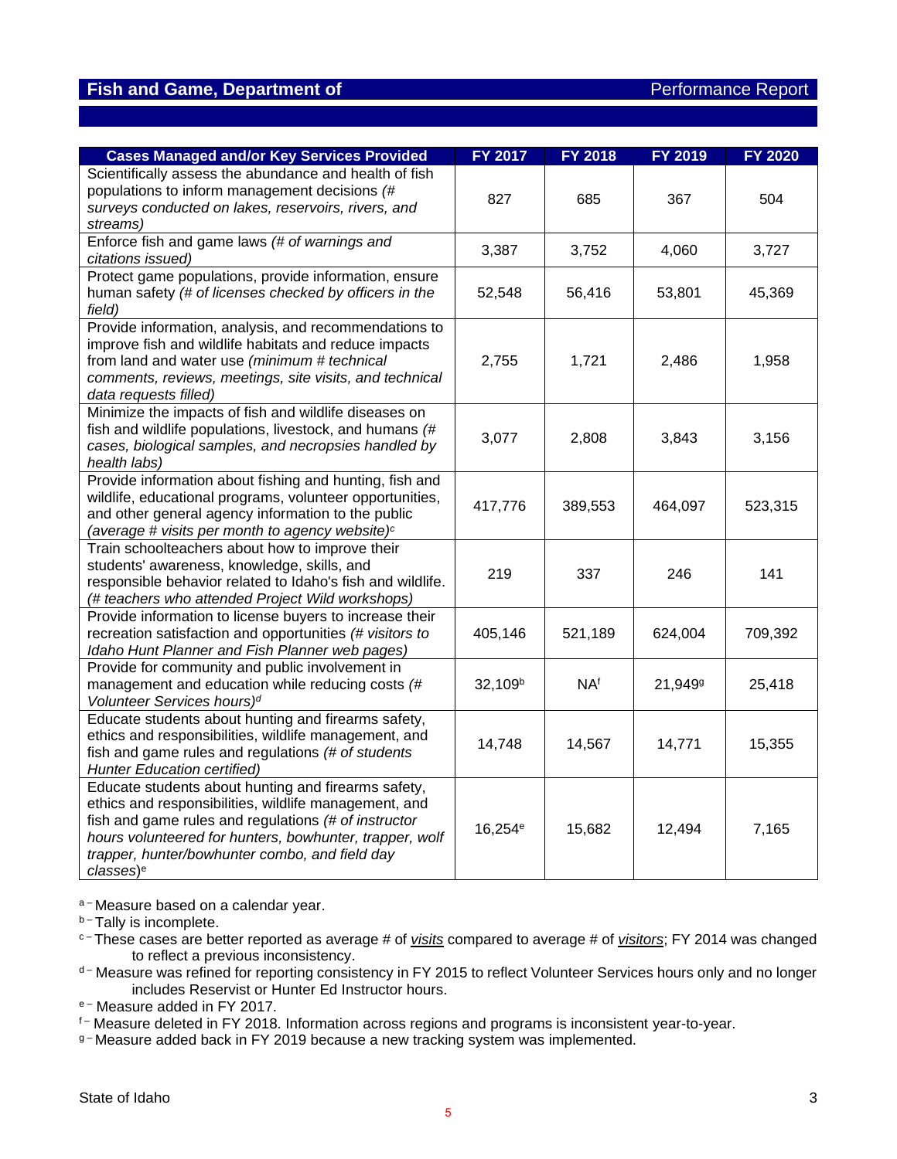## **Fish and Game, Department of Performance Report Report**

| <b>Cases Managed and/or Key Services Provided</b>                                                              | <b>FY 2017</b>      | <b>FY 2018</b> | FY 2019             | <b>FY 2020</b> |
|----------------------------------------------------------------------------------------------------------------|---------------------|----------------|---------------------|----------------|
| Scientifically assess the abundance and health of fish                                                         |                     |                |                     |                |
| populations to inform management decisions (#                                                                  | 827                 | 685            | 367                 | 504            |
| surveys conducted on lakes, reservoirs, rivers, and                                                            |                     |                |                     |                |
| streams)                                                                                                       |                     |                |                     |                |
| Enforce fish and game laws (# of warnings and<br>citations issued)                                             | 3,387               | 3,752          | 4,060               | 3,727          |
| Protect game populations, provide information, ensure                                                          |                     |                |                     |                |
| human safety (# of licenses checked by officers in the                                                         | 52,548              | 56,416         | 53,801              | 45,369         |
| field)                                                                                                         |                     |                |                     |                |
| Provide information, analysis, and recommendations to                                                          |                     |                |                     |                |
| improve fish and wildlife habitats and reduce impacts                                                          |                     |                |                     |                |
| from land and water use (minimum # technical                                                                   | 2,755               | 1,721          | 2,486               | 1,958          |
| comments, reviews, meetings, site visits, and technical                                                        |                     |                |                     |                |
| data requests filled)<br>Minimize the impacts of fish and wildlife diseases on                                 |                     |                |                     |                |
| fish and wildlife populations, livestock, and humans (#                                                        |                     |                |                     |                |
| cases, biological samples, and necropsies handled by                                                           | 3,077               | 2,808          | 3,843               | 3,156          |
| health labs)                                                                                                   |                     |                |                     |                |
| Provide information about fishing and hunting, fish and                                                        |                     |                |                     |                |
| wildlife, educational programs, volunteer opportunities,                                                       | 417,776             | 389,553        | 464,097             | 523,315        |
| and other general agency information to the public                                                             |                     |                |                     |                |
| (average # visits per month to agency website) $c$                                                             |                     |                |                     |                |
| Train schoolteachers about how to improve their                                                                |                     |                |                     |                |
| students' awareness, knowledge, skills, and                                                                    | 219                 | 337            | 246                 | 141            |
| responsible behavior related to Idaho's fish and wildlife.<br>(# teachers who attended Project Wild workshops) |                     |                |                     |                |
| Provide information to license buyers to increase their                                                        |                     |                |                     |                |
| recreation satisfaction and opportunities (# visitors to                                                       | 405,146             | 521,189        | 624,004             | 709,392        |
| Idaho Hunt Planner and Fish Planner web pages)                                                                 |                     |                |                     |                |
| Provide for community and public involvement in                                                                |                     |                |                     |                |
| management and education while reducing costs (#                                                               | 32,109 <sup>b</sup> | <b>NAf</b>     | 21,949 <sup>g</sup> | 25,418         |
| Volunteer Services hours) <sup>d</sup>                                                                         |                     |                |                     |                |
| Educate students about hunting and firearms safety,                                                            |                     |                |                     |                |
| ethics and responsibilities, wildlife management, and                                                          | 14,748              | 14,567         | 14,771              | 15,355         |
| fish and game rules and regulations (# of students                                                             |                     |                |                     |                |
| <b>Hunter Education certified)</b>                                                                             |                     |                |                     |                |
| Educate students about hunting and firearms safety,<br>ethics and responsibilities, wildlife management, and   |                     |                |                     |                |
| fish and game rules and regulations (# of instructor                                                           |                     |                |                     |                |
| hours volunteered for hunters, bowhunter, trapper, wolf                                                        | 16,254 <sup>e</sup> | 15,682         | 12,494              | 7,165          |
| trapper, hunter/bowhunter combo, and field day                                                                 |                     |                |                     |                |
| classes) <sup>e</sup>                                                                                          |                     |                |                     |                |

a-Measure based on a calendar year.

b-Tally is incomplete.

- c These cases are better reported as average # of *visits* compared to average # of *visitors*; FY 2014 was changed to reflect a previous inconsistency.
- d-Measure was refined for reporting consistency in FY 2015 to reflect Volunteer Services hours only and no longer includes Reservist or Hunter Ed Instructor hours.

e-Measure added in FY 2017.

g-Measure added back in FY 2019 because a new tracking system was implemented.

f- Measure deleted in FY 2018. Information across regions and programs is inconsistent year-to-year.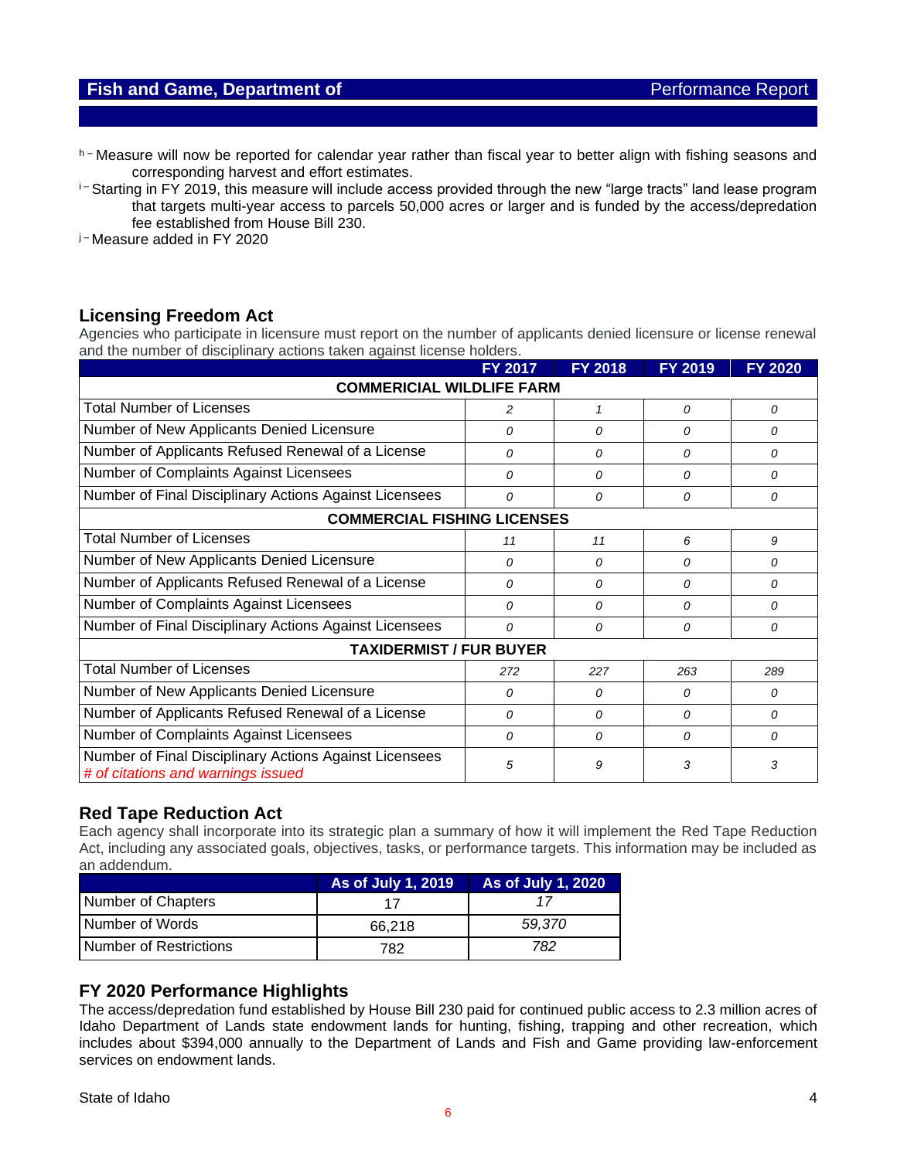### **Fish and Game, Department of Performance Report Report**

h – Measure will now be reported for calendar year rather than fiscal year to better align with fishing seasons and corresponding harvest and effort estimates.

<sup>i-</sup> Starting in FY 2019, this measure will include access provided through the new "large tracts" land lease program that targets multi-year access to parcels 50,000 acres or larger and is funded by the access/depredation fee established from House Bill 230.

j – Measure added in FY 2020

### **Licensing Freedom Act**

Agencies who participate in licensure must report on the number of applicants denied licensure or license renewal and the number of disciplinary actions taken against license holders.

|                                                                                              | <b>FY 2017</b> | <b>FY 2018</b> | <b>FY 2019</b> | FY 2020 |
|----------------------------------------------------------------------------------------------|----------------|----------------|----------------|---------|
| <b>COMMERICIAL WILDLIFE FARM</b>                                                             |                |                |                |         |
| <b>Total Number of Licenses</b>                                                              | 2              | 1              | 0              | 0       |
| Number of New Applicants Denied Licensure                                                    | 0              | 0              | 0              | 0       |
| Number of Applicants Refused Renewal of a License                                            | 0              | 0              | 0              | 0       |
| Number of Complaints Against Licensees                                                       | 0              | $\Omega$       | $\Omega$       | 0       |
| Number of Final Disciplinary Actions Against Licensees                                       | 0              | 0              | 0              | 0       |
| <b>COMMERCIAL FISHING LICENSES</b>                                                           |                |                |                |         |
| <b>Total Number of Licenses</b>                                                              | 11             | 11             | 6              | 9       |
| Number of New Applicants Denied Licensure                                                    | 0              | 0              | 0              | 0       |
| Number of Applicants Refused Renewal of a License                                            | 0              | 0              | 0              | 0       |
| Number of Complaints Against Licensees                                                       | 0              | 0              | 0              | 0       |
| Number of Final Disciplinary Actions Against Licensees                                       | 0              | 0              | 0              | 0       |
| <b>TAXIDERMIST / FUR BUYER</b>                                                               |                |                |                |         |
| <b>Total Number of Licenses</b>                                                              | 272            | 227            | 263            | 289     |
| Number of New Applicants Denied Licensure                                                    | 0              | 0              | 0              | 0       |
| Number of Applicants Refused Renewal of a License                                            | 0              | 0              | 0              | 0       |
| Number of Complaints Against Licensees                                                       | $\Omega$       | 0              | 0              | 0       |
| Number of Final Disciplinary Actions Against Licensees<br># of citations and warnings issued | 5              | 9              | 3              | 3       |

### **Red Tape Reduction Act**

Each agency shall incorporate into its strategic plan a summary of how it will implement the Red Tape Reduction Act, including any associated goals, objectives, tasks, or performance targets. This information may be included as an addendum.

|                        | As of July 1, 2019 | As of July 1, 2020 |
|------------------------|--------------------|--------------------|
| Number of Chapters     |                    |                    |
| Number of Words        | 66.218             | 59.370             |
| Number of Restrictions | 782                | 782                |

### **FY 2020 Performance Highlights**

The access/depredation fund established by House Bill 230 paid for continued public access to 2.3 million acres of Idaho Department of Lands state endowment lands for hunting, fishing, trapping and other recreation, which includes about \$394,000 annually to the Department of Lands and Fish and Game providing law-enforcement services on endowment lands.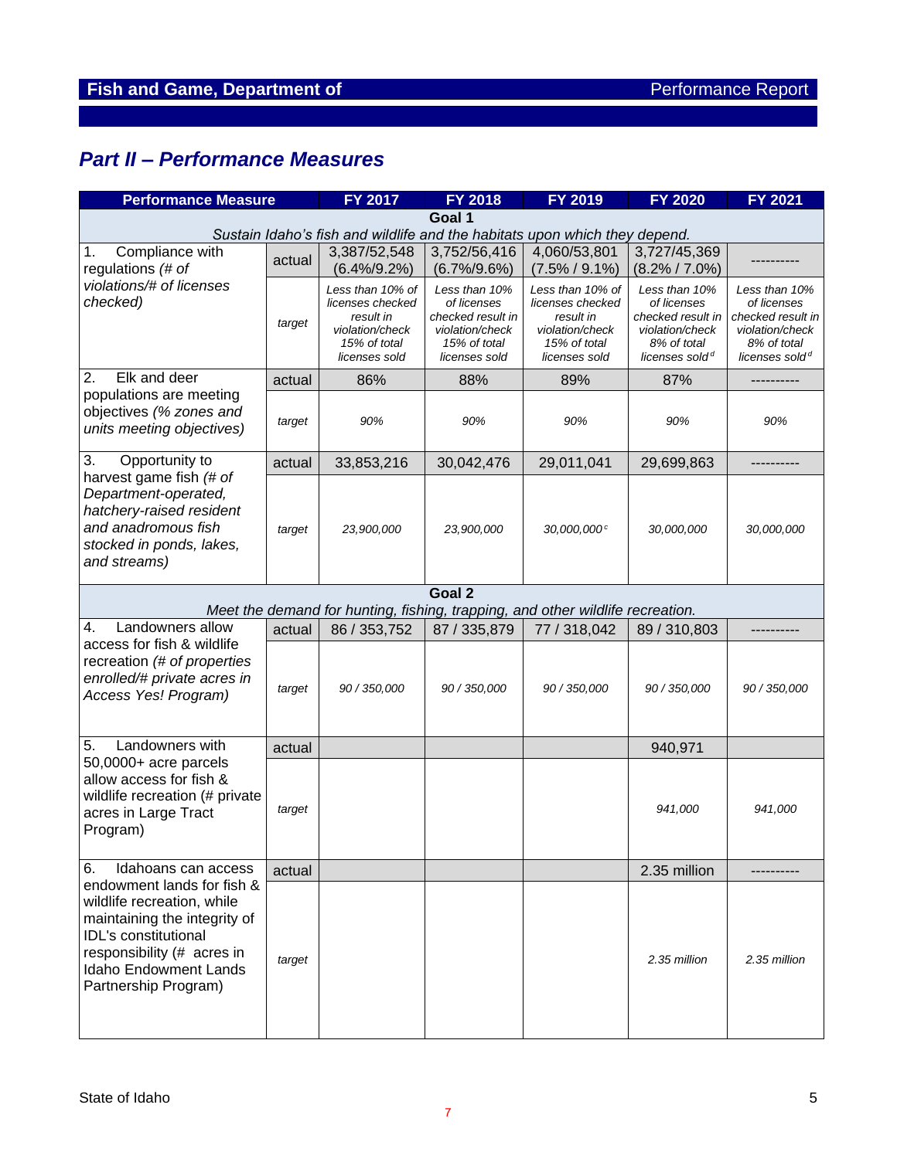# *Part II – Performance Measures*

| <b>Performance Measure</b>                                                                                                                                                                                    |                                                                                                                                                                                                                                                                                                                                                                                                                                                                                                                                                                                                                                                                                                                                                                                                                                                                                          | <b>FY 2017</b>                                                                                                    | <b>FY 2018</b>                                                                                                    | FY 2019                           | <b>FY 2020</b>                    | <b>FY 2021</b> |
|---------------------------------------------------------------------------------------------------------------------------------------------------------------------------------------------------------------|------------------------------------------------------------------------------------------------------------------------------------------------------------------------------------------------------------------------------------------------------------------------------------------------------------------------------------------------------------------------------------------------------------------------------------------------------------------------------------------------------------------------------------------------------------------------------------------------------------------------------------------------------------------------------------------------------------------------------------------------------------------------------------------------------------------------------------------------------------------------------------------|-------------------------------------------------------------------------------------------------------------------|-------------------------------------------------------------------------------------------------------------------|-----------------------------------|-----------------------------------|----------------|
|                                                                                                                                                                                                               |                                                                                                                                                                                                                                                                                                                                                                                                                                                                                                                                                                                                                                                                                                                                                                                                                                                                                          |                                                                                                                   | Goal 1                                                                                                            |                                   |                                   |                |
| Compliance with<br>1.<br>regulations (# of                                                                                                                                                                    | actual                                                                                                                                                                                                                                                                                                                                                                                                                                                                                                                                                                                                                                                                                                                                                                                                                                                                                   | 3,387/52,548<br>$(6.4\%/9.2\%)$                                                                                   | 3,752/56,416<br>$(6.7\%/9.6\%)$                                                                                   | 4,060/53,801<br>$(7.5\% / 9.1\%)$ | 3,727/45,369<br>$(8.2\% / 7.0\%)$ |                |
| violations/# of licenses<br>checked)                                                                                                                                                                          | Sustain Idaho's fish and wildlife and the habitats upon which they depend.<br>Less than 10% of<br>Less than 10% of<br>Less than 10%<br>licenses checked<br>of licenses<br>licenses checked<br>result in<br>checked result in<br>result in<br>target<br>violation/check<br>violation/check<br>violation/check<br>15% of total<br>15% of total<br>15% of total<br>licenses sold<br>licenses sold<br>licenses sold<br>86%<br>88%<br>89%<br>87%<br>actual<br>90%<br>90%<br>90%<br>90%<br>target<br>29,011,041<br>33,853,216<br>30,042,476<br>actual<br>23,900,000<br>30,000,000 <sup>c</sup><br>23,900,000<br>target<br>Goal 2<br>Meet the demand for hunting, fishing, trapping, and other wildlife recreation.<br>actual<br>86 / 353,752<br>87 / 335,879<br>77 / 318,042<br>89 / 310,803<br>90 / 350,000<br>90 / 350,000<br>90 / 350,000<br>target<br>actual<br>target<br>actual<br>target | Less than 10%<br>of licenses<br>checked result in<br>violation/check<br>8% of total<br>licenses sold <sup>d</sup> | Less than 10%<br>of licenses<br>checked result in<br>violation/check<br>8% of total<br>licenses sold <sup>d</sup> |                                   |                                   |                |
| Elk and deer<br>2.                                                                                                                                                                                            |                                                                                                                                                                                                                                                                                                                                                                                                                                                                                                                                                                                                                                                                                                                                                                                                                                                                                          |                                                                                                                   |                                                                                                                   |                                   |                                   |                |
| populations are meeting<br>objectives (% zones and<br>units meeting objectives)<br>Opportunity to<br>harvest game fish (# of<br>Landowners allow                                                              |                                                                                                                                                                                                                                                                                                                                                                                                                                                                                                                                                                                                                                                                                                                                                                                                                                                                                          |                                                                                                                   |                                                                                                                   |                                   |                                   | 90%            |
| 3.                                                                                                                                                                                                            |                                                                                                                                                                                                                                                                                                                                                                                                                                                                                                                                                                                                                                                                                                                                                                                                                                                                                          |                                                                                                                   |                                                                                                                   |                                   | 29,699,863                        |                |
| Department-operated,<br>hatchery-raised resident<br>and anadromous fish<br>stocked in ponds, lakes,<br>and streams)                                                                                           |                                                                                                                                                                                                                                                                                                                                                                                                                                                                                                                                                                                                                                                                                                                                                                                                                                                                                          |                                                                                                                   |                                                                                                                   |                                   | 30,000,000                        | 30,000,000     |
|                                                                                                                                                                                                               |                                                                                                                                                                                                                                                                                                                                                                                                                                                                                                                                                                                                                                                                                                                                                                                                                                                                                          |                                                                                                                   |                                                                                                                   |                                   |                                   |                |
| 4.                                                                                                                                                                                                            |                                                                                                                                                                                                                                                                                                                                                                                                                                                                                                                                                                                                                                                                                                                                                                                                                                                                                          |                                                                                                                   |                                                                                                                   |                                   |                                   |                |
| access for fish & wildlife<br>recreation (# of properties<br>enrolled/# private acres in<br>Access Yes! Program)                                                                                              |                                                                                                                                                                                                                                                                                                                                                                                                                                                                                                                                                                                                                                                                                                                                                                                                                                                                                          |                                                                                                                   |                                                                                                                   |                                   | 90 / 350,000                      | 90 / 350,000   |
| Landowners with<br>5.                                                                                                                                                                                         |                                                                                                                                                                                                                                                                                                                                                                                                                                                                                                                                                                                                                                                                                                                                                                                                                                                                                          |                                                                                                                   |                                                                                                                   |                                   | 940,971                           |                |
| 50,0000+ acre parcels<br>allow access for fish &<br>wildlife recreation (# private<br>acres in Large Tract<br>Program)                                                                                        |                                                                                                                                                                                                                                                                                                                                                                                                                                                                                                                                                                                                                                                                                                                                                                                                                                                                                          |                                                                                                                   |                                                                                                                   |                                   | 941,000                           | 941,000        |
| Idahoans can access<br>6.                                                                                                                                                                                     |                                                                                                                                                                                                                                                                                                                                                                                                                                                                                                                                                                                                                                                                                                                                                                                                                                                                                          |                                                                                                                   |                                                                                                                   |                                   | 2.35 million                      |                |
| endowment lands for fish &<br>wildlife recreation, while<br>maintaining the integrity of<br><b>IDL's constitutional</b><br>responsibility (# acres in<br><b>Idaho Endowment Lands</b><br>Partnership Program) |                                                                                                                                                                                                                                                                                                                                                                                                                                                                                                                                                                                                                                                                                                                                                                                                                                                                                          |                                                                                                                   |                                                                                                                   |                                   | 2.35 million                      | 2.35 million   |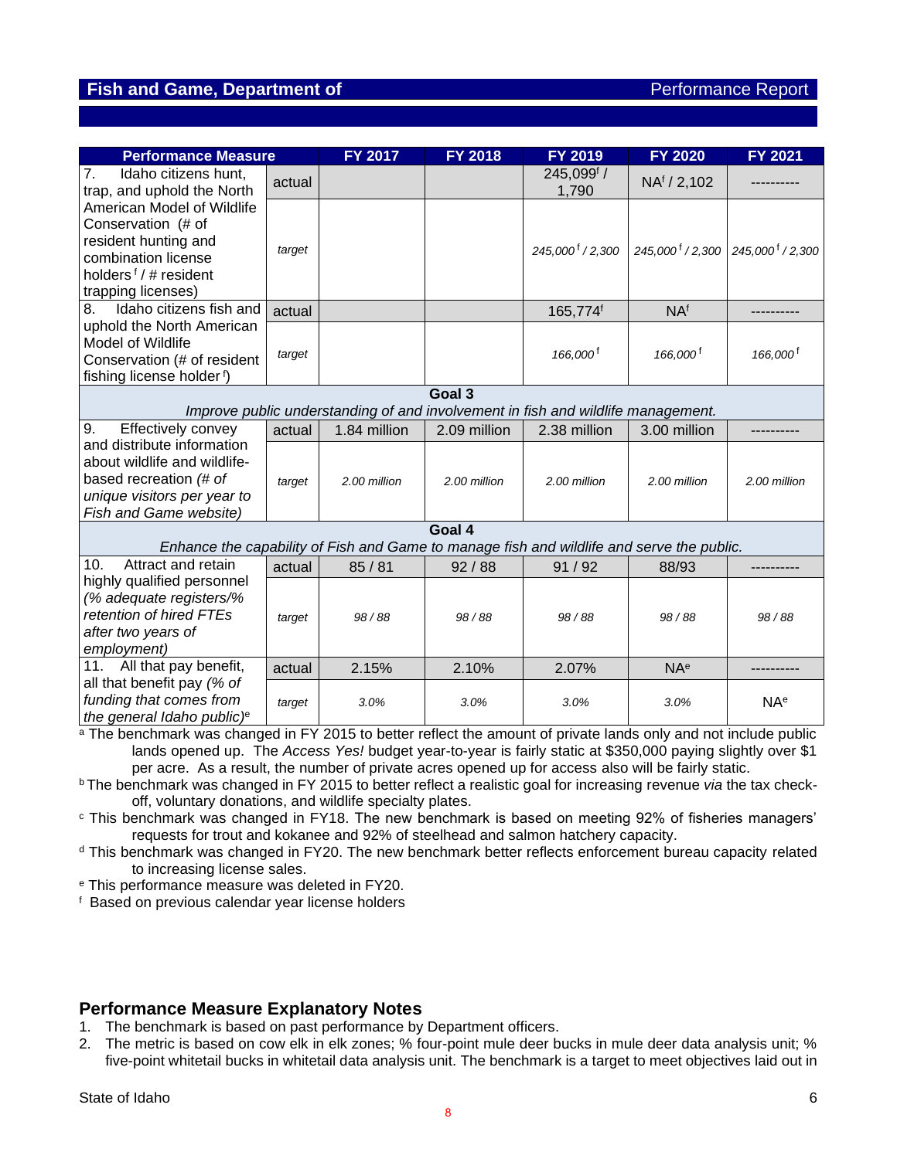### **Fish and Game, Department of Performance Report**

| <b>Performance Measure</b>                                                                                                                                 |        | <b>FY 2017</b> | <b>FY 2018</b> | FY 2019                                                                          | <b>FY 2020</b>               | <b>FY 2021</b>                  |  |  |  |
|------------------------------------------------------------------------------------------------------------------------------------------------------------|--------|----------------|----------------|----------------------------------------------------------------------------------|------------------------------|---------------------------------|--|--|--|
| Idaho citizens hunt,<br>7.<br>trap, and uphold the North                                                                                                   | actual |                |                | 245,099f /<br>1,790                                                              | NA <sup>f</sup> / 2,102      |                                 |  |  |  |
| American Model of Wildlife<br>Conservation (# of<br>resident hunting and<br>combination license<br>holders <sup>f</sup> / # resident<br>trapping licenses) | target |                |                | 245,000 <sup>f</sup> / 2,300                                                     | 245,000 <sup>f</sup> / 2,300 | $245,000^{\frac{1}{3}}$ / 2,300 |  |  |  |
| Idaho citizens fish and<br>8.                                                                                                                              | actual |                |                | 165,774f                                                                         | NA <sup>f</sup>              |                                 |  |  |  |
| uphold the North American<br>Model of Wildlife<br>Conservation (# of resident<br>fishing license holder f)                                                 | target |                |                | 166,000 <sup>f</sup>                                                             | 166,000 <sup>f</sup>         | 166,000 <sup>f</sup>            |  |  |  |
|                                                                                                                                                            | Goal 3 |                |                |                                                                                  |                              |                                 |  |  |  |
|                                                                                                                                                            |        |                |                | Improve public understanding of and involvement in fish and wildlife management. |                              |                                 |  |  |  |
| Effectively convey<br>9.                                                                                                                                   | actual | 1.84 million   | 2.09 million   | 2.38 million                                                                     | 3.00 million                 |                                 |  |  |  |
| and distribute information<br>about wildlife and wildlife-<br>based recreation (# of<br>unique visitors per year to<br>Fish and Game website)              | target | 2.00 million   | 2.00 million   | 2.00 million                                                                     | 2.00 million                 | 2.00 million                    |  |  |  |
|                                                                                                                                                            |        |                | Goal 4         |                                                                                  |                              |                                 |  |  |  |
| Enhance the capability of Fish and Game to manage fish and wildlife and serve the public.                                                                  |        |                |                |                                                                                  |                              |                                 |  |  |  |
| Attract and retain<br>10.                                                                                                                                  | actual | 85/81          | 92/88          | 91/92                                                                            | 88/93                        |                                 |  |  |  |
| highly qualified personnel<br>(% adequate registers/%<br>retention of hired FTEs<br>after two years of<br>employment)                                      | target | 98/88          | 98/88          | 98/88                                                                            | 98/88                        | 98/88                           |  |  |  |
| All that pay benefit,<br>11.                                                                                                                               | actual | 2.15%          | 2.10%          | 2.07%                                                                            | <b>NA</b> <sup>e</sup>       |                                 |  |  |  |
| all that benefit pay (% of<br>funding that comes from<br>the general Idaho public) <sup>e</sup>                                                            | target | 3.0%           | 3.0%           | 3.0%                                                                             | 3.0%                         | <b>NA</b> <sup>e</sup>          |  |  |  |

<sup>a</sup> The benchmark was changed in FY 2015 to better reflect the amount of private lands only and not include public lands opened up. The *Access Yes!* budget year-to-year is fairly static at \$350,000 paying slightly over \$1 per acre. As a result, the number of private acres opened up for access also will be fairly static.

<sup>b</sup>The benchmark was changed in FY 2015 to better reflect a realistic goal for increasing revenue *via* the tax checkoff, voluntary donations, and wildlife specialty plates.

<sup>c</sup> This benchmark was changed in FY18. The new benchmark is based on meeting 92% of fisheries managers' requests for trout and kokanee and 92% of steelhead and salmon hatchery capacity.

<sup>d</sup> This benchmark was changed in FY20. The new benchmark better reflects enforcement bureau capacity related to increasing license sales.

<sup>e</sup> This performance measure was deleted in FY20.

f Based on previous calendar year license holders

#### **Performance Measure Explanatory Notes**

- 1. The benchmark is based on past performance by Department officers.
- 2. The metric is based on cow elk in elk zones; % four-point mule deer bucks in mule deer data analysis unit; % five-point whitetail bucks in whitetail data analysis unit. The benchmark is a target to meet objectives laid out in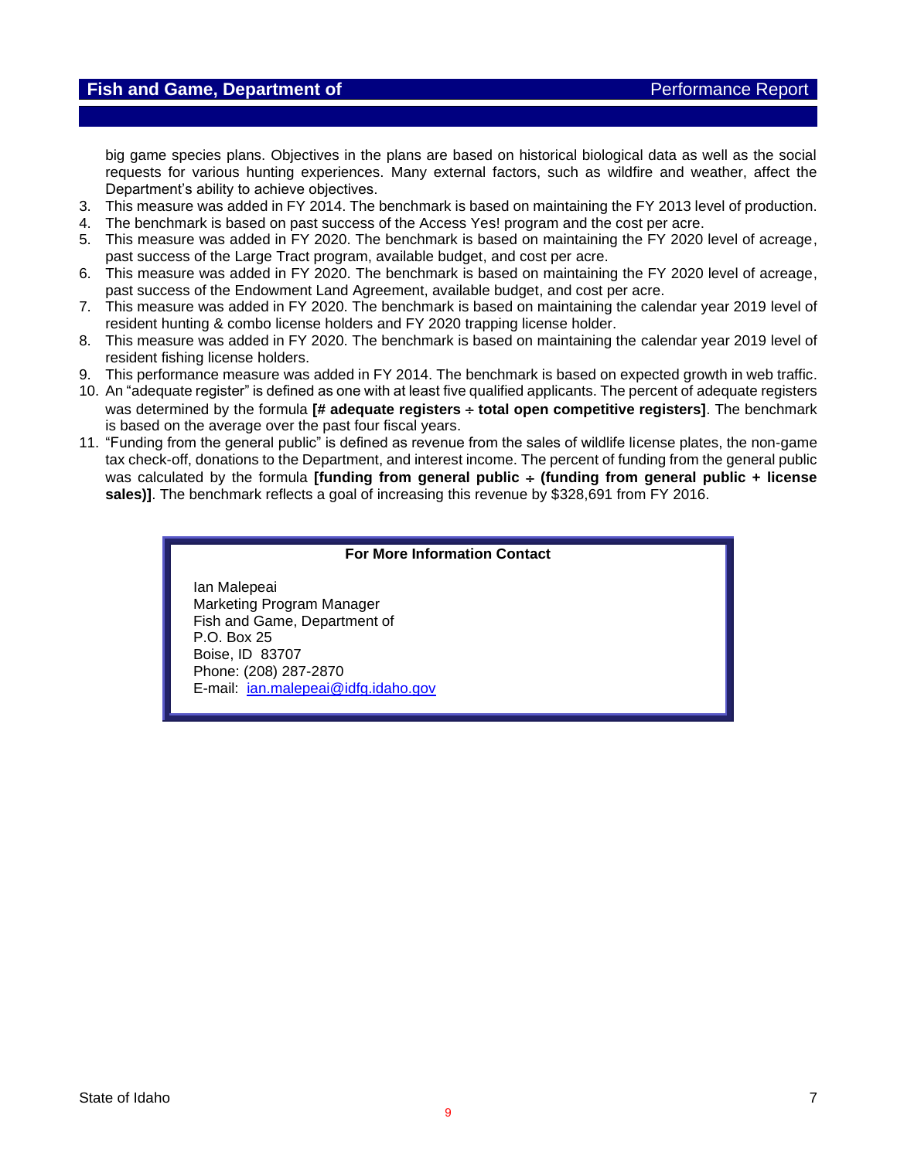big game species plans. Objectives in the plans are based on historical biological data as well as the social requests for various hunting experiences. Many external factors, such as wildfire and weather, affect the Department's ability to achieve objectives.

- 3. This measure was added in FY 2014. The benchmark is based on maintaining the FY 2013 level of production.
- 4. The benchmark is based on past success of the Access Yes! program and the cost per acre.
- 5. This measure was added in FY 2020. The benchmark is based on maintaining the FY 2020 level of acreage, past success of the Large Tract program, available budget, and cost per acre.
- 6. This measure was added in FY 2020. The benchmark is based on maintaining the FY 2020 level of acreage, past success of the Endowment Land Agreement, available budget, and cost per acre.
- 7. This measure was added in FY 2020. The benchmark is based on maintaining the calendar year 2019 level of resident hunting & combo license holders and FY 2020 trapping license holder.
- 8. This measure was added in FY 2020. The benchmark is based on maintaining the calendar year 2019 level of resident fishing license holders.
- 9. This performance measure was added in FY 2014. The benchmark is based on expected growth in web traffic.
- 10. An "adequate register" is defined as one with at least five qualified applicants. The percent of adequate registers was determined by the formula **[# adequate registers total open competitive registers]**. The benchmark is based on the average over the past four fiscal years.
- 11. "Funding from the general public" is defined as revenue from the sales of wildlife license plates, the non-game tax check-off, donations to the Department, and interest income. The percent of funding from the general public was calculated by the formula **[funding from general public**  $\div$  **(funding from general public + license sales)]**. The benchmark reflects a goal of increasing this revenue by \$328,691 from FY 2016.

#### **For More Information Contact**

Ian Malepeai Marketing Program Manager Fish and Game, Department of P.O. Box 25 Boise, ID 83707 Phone: (208) 287-2870 E-mail: [ian.malepeai@idfg.idaho.gov](mailto:ian.malepeai@idfg.idaho.gov)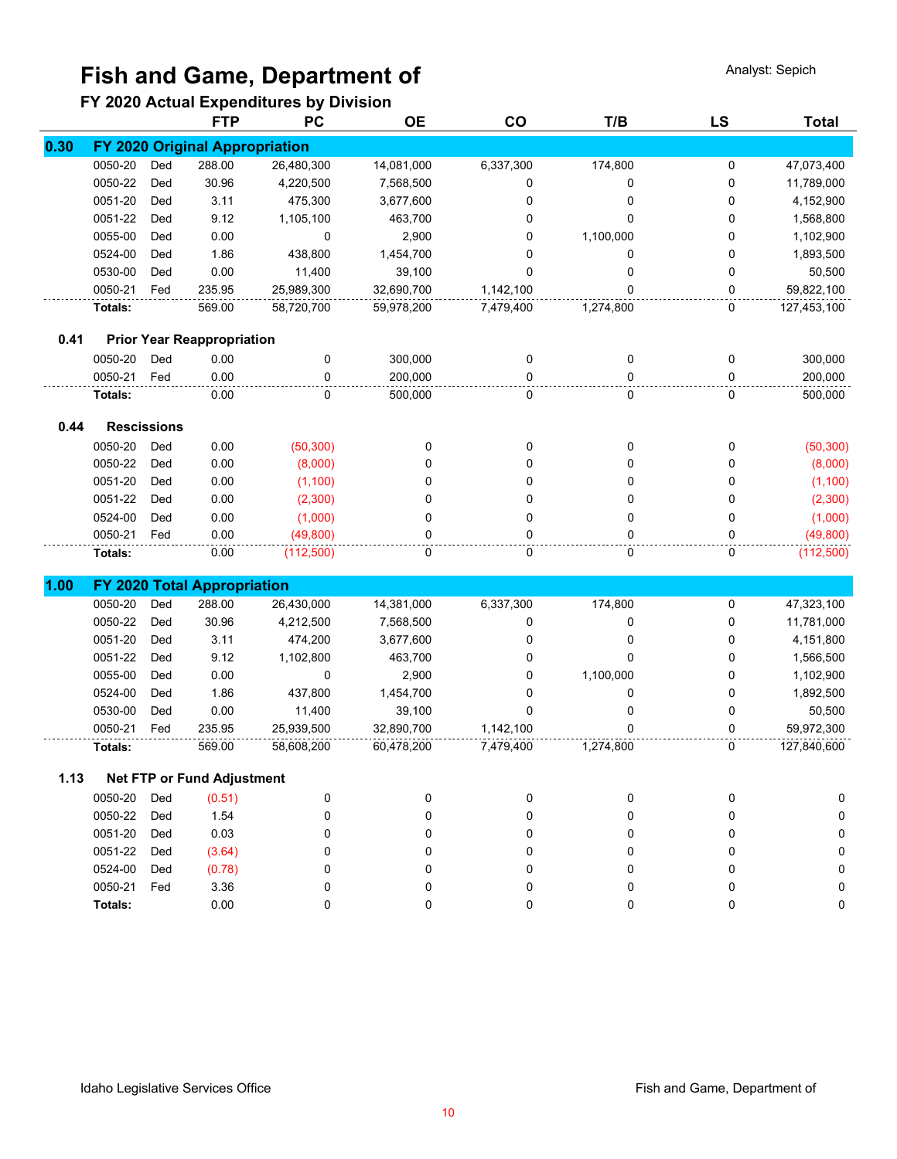# **Fish and Game, Department of Analyst: Sepich Analyst: Sepich**

## **FY 2020 Actual Expenditures by Division**

|      |         |                    | <b>FTP</b>                        | PC         | <b>OE</b>  | co        | T/B       | <b>LS</b> | <b>Total</b> |
|------|---------|--------------------|-----------------------------------|------------|------------|-----------|-----------|-----------|--------------|
| 0.30 |         |                    | FY 2020 Original Appropriation    |            |            |           |           |           |              |
|      | 0050-20 | Ded                | 288.00                            | 26,480,300 | 14,081,000 | 6,337,300 | 174,800   | 0         | 47,073,400   |
|      | 0050-22 | Ded                | 30.96                             | 4,220,500  | 7,568,500  | 0         | 0         | 0         | 11,789,000   |
|      | 0051-20 | Ded                | 3.11                              | 475,300    | 3,677,600  | 0         | 0         | 0         | 4,152,900    |
|      | 0051-22 | Ded                | 9.12                              | 1,105,100  | 463,700    | 0         | 0         | 0         | 1,568,800    |
|      | 0055-00 | Ded                | 0.00                              | 0          | 2,900      | 0         | 1,100,000 | 0         | 1,102,900    |
|      | 0524-00 | Ded                | 1.86                              | 438,800    | 1,454,700  | 0         | 0         | 0         | 1,893,500    |
|      | 0530-00 | Ded                | 0.00                              | 11,400     | 39,100     | $\Omega$  | 0         | 0         | 50,500       |
|      | 0050-21 | Fed                | 235.95                            | 25,989,300 | 32,690,700 | 1,142,100 | 0         | 0         | 59,822,100   |
|      | Totals: |                    | 569.00                            | 58,720,700 | 59,978,200 | 7,479,400 | 1,274,800 | 0         | 127,453,100  |
| 0.41 |         |                    | <b>Prior Year Reappropriation</b> |            |            |           |           |           |              |
|      | 0050-20 | Ded                | 0.00                              | 0          | 300,000    | 0         | 0         | 0         | 300,000      |
|      | 0050-21 | Fed                | 0.00                              | 0          | 200,000    | 0         | 0         | 0         | 200,000      |
|      | Totals: |                    | 0.00                              | 0          | 500,000    | 0         | 0         | 0         | 500,000      |
| 0.44 |         | <b>Rescissions</b> |                                   |            |            |           |           |           |              |
|      | 0050-20 | Ded                | 0.00                              | (50, 300)  | 0          | 0         | 0         | 0         | (50, 300)    |
|      | 0050-22 | Ded                | 0.00                              | (8,000)    | $\Omega$   | 0         | 0         | 0         | (8,000)      |
|      | 0051-20 | Ded                | 0.00                              | (1,100)    | 0          | 0         | 0         | 0         | (1, 100)     |
|      | 0051-22 | Ded                | 0.00                              | (2,300)    | 0          | 0         | 0         | 0         | (2,300)      |
|      | 0524-00 | Ded                | 0.00                              | (1,000)    | 0          | 0         | 0         | 0         | (1,000)      |
|      | 0050-21 | Fed                | 0.00                              | (49, 800)  | 0          | 0         | 0         | 0         | (49, 800)    |
|      | Totals: |                    | 0.00                              | (112,500)  | 0          | 0         | 0         | 0         | (112,500)    |
| 1.00 |         |                    | FY 2020 Total Appropriation       |            |            |           |           |           |              |
|      | 0050-20 | Ded                | 288.00                            | 26,430,000 | 14,381,000 | 6,337,300 | 174,800   | 0         | 47,323,100   |
|      | 0050-22 | Ded                | 30.96                             | 4,212,500  | 7,568,500  | 0         | 0         | 0         | 11,781,000   |
|      | 0051-20 | Ded                | 3.11                              | 474,200    | 3,677,600  | 0         | 0         | 0         | 4,151,800    |
|      | 0051-22 | Ded                | 9.12                              | 1,102,800  | 463,700    | 0         | 0         | 0         | 1,566,500    |
|      | 0055-00 | Ded                | 0.00                              | 0          | 2,900      | 0         | 1,100,000 | 0         | 1,102,900    |
|      | 0524-00 | Ded                | 1.86                              | 437,800    | 1,454,700  | 0         | 0         | 0         | 1,892,500    |
|      | 0530-00 | Ded                | 0.00                              | 11,400     | 39,100     | $\Omega$  | 0         | 0         | 50,500       |
|      | 0050-21 | Fed                | 235.95                            | 25,939,500 | 32,890,700 | 1,142,100 | 0         | 0         | 59,972,300   |
|      | Totals: |                    | 569.00                            | 58,608,200 | 60,478,200 | 7,479,400 | 1,274,800 | 0         | 127,840,600  |
| 1.13 |         |                    | <b>Net FTP or Fund Adjustment</b> |            |            |           |           |           |              |
|      | 0050-20 | Ded                | (0.51)                            | 0          | 0          | 0         | 0         | 0         | 0            |
|      | 0050-22 | Ded                | 1.54                              | 0          | 0          | 0         | 0         | 0         | 0            |
|      | 0051-20 | Ded                | 0.03                              | 0          | 0          | 0         | 0         | 0         | 0            |
|      | 0051-22 | Ded                | (3.64)                            | 0          | 0          | 0         | 0         | 0         | 0            |
|      | 0524-00 | Ded                | (0.78)                            | 0          | 0          | 0         | 0         | 0         | 0            |
|      | 0050-21 | Fed                | 3.36                              | 0          | 0          | 0         | 0         | 0         | 0            |
|      | Totals: |                    | 0.00                              | 0          | 0          | 0         | 0         | 0         | $\mathbf 0$  |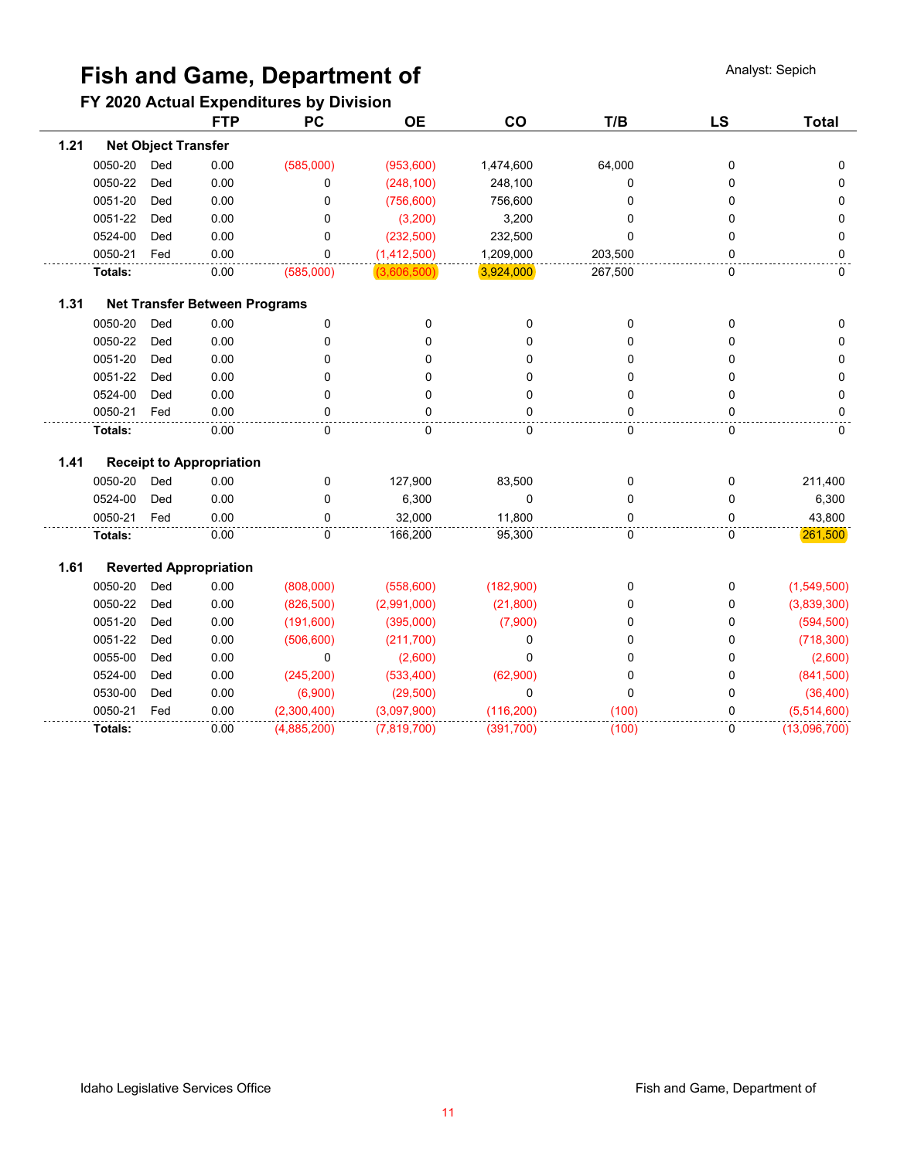# **Fish and Game, Department of Analyst: Sepich Analyst: Sepich**

## **FY 2020 Actual Expenditures by Division**

|      |         |                            | <b>FTP</b>                      | PC          | <b>OE</b>   | CO         | T/B     | <b>LS</b>   | <b>Total</b> |
|------|---------|----------------------------|---------------------------------|-------------|-------------|------------|---------|-------------|--------------|
| 1.21 |         | <b>Net Object Transfer</b> |                                 |             |             |            |         |             |              |
|      | 0050-20 | Ded                        | 0.00                            | (585,000)   | (953,600)   | 1,474,600  | 64,000  | 0           | $\Omega$     |
|      | 0050-22 | Ded                        | 0.00                            | 0           | (248, 100)  | 248,100    | 0       | 0           | $\Omega$     |
|      | 0051-20 | Ded                        | 0.00                            | 0           | (756, 600)  | 756,600    | 0       | 0           | 0            |
|      | 0051-22 | Ded                        | 0.00                            | 0           | (3,200)     | 3,200      | 0       | 0           | 0            |
|      | 0524-00 | Ded                        | 0.00                            | 0           | (232, 500)  | 232,500    | 0       | 0           | 0            |
|      | 0050-21 | Fed                        | 0.00                            | 0           | (1,412,500) | 1,209,000  | 203,500 | 0           | 0            |
|      | Totals: |                            | 0.00                            | (585,000)   | (3,606,500) | 3,924,000  | 267,500 | 0           | $\mathbf 0$  |
| 1.31 |         |                            | Net Transfer Between Programs   |             |             |            |         |             |              |
|      | 0050-20 | Ded                        | 0.00                            | 0           | 0           | 0          | 0       | 0           | $\Omega$     |
|      | 0050-22 | Ded                        | 0.00                            | 0           | 0           | 0          | 0       | 0           | $\Omega$     |
|      | 0051-20 | Ded                        | 0.00                            | 0           | 0           | 0          | 0       | 0           | $\Omega$     |
|      | 0051-22 | Ded                        | 0.00                            | 0           | 0           | 0          | 0       | 0           | 0            |
|      | 0524-00 | Ded                        | 0.00                            | 0           | 0           | 0          | 0       | 0           | 0            |
|      | 0050-21 | Fed                        | 0.00                            | 0           | 0           | $\Omega$   | 0       | 0           | 0            |
|      | Totals: |                            | 0.00                            | 0           | 0           | 0          | 0       | 0           | 0            |
| 1.41 |         |                            | <b>Receipt to Appropriation</b> |             |             |            |         |             |              |
|      | 0050-20 | Ded                        | 0.00                            | 0           | 127,900     | 83,500     | 0       | 0           | 211,400      |
|      | 0524-00 | Ded                        | 0.00                            | 0           | 6,300       | 0          | 0       | 0           | 6,300        |
|      | 0050-21 | Fed                        | 0.00                            | $\Omega$    | 32,000      | 11,800     | 0       | $\Omega$    | 43,800       |
|      | Totals: |                            | 0.00                            | 0           | 166,200     | 95,300     | 0       | $\mathbf 0$ | 261,500      |
| 1.61 |         |                            | <b>Reverted Appropriation</b>   |             |             |            |         |             |              |
|      | 0050-20 | Ded                        | 0.00                            | (808,000)   | (558, 600)  | (182,900)  | 0       | 0           | (1,549,500)  |
|      | 0050-22 | Ded                        | 0.00                            | (826, 500)  | (2,991,000) | (21, 800)  | 0       | 0           | (3,839,300)  |
|      | 0051-20 | Ded                        | 0.00                            | (191,600)   | (395,000)   | (7,900)    | 0       | 0           | (594, 500)   |
|      | 0051-22 | Ded                        | 0.00                            | (506, 600)  | (211, 700)  | 0          | 0       | 0           | (718, 300)   |
|      | 0055-00 | Ded                        | 0.00                            | $\mathbf 0$ | (2,600)     | 0          | 0       | 0           | (2,600)      |
|      | 0524-00 | Ded                        | 0.00                            | (245, 200)  | (533, 400)  | (62,900)   | 0       | 0           | (841,500)    |
|      | 0530-00 | Ded                        | 0.00                            | (6,900)     | (29, 500)   | 0          | 0       | 0           | (36, 400)    |
|      | 0050-21 | Fed                        | 0.00                            | (2,300,400) | (3,097,900) | (116, 200) | (100)   | 0           | (5,514,600)  |
|      | Totals: |                            | 0.00                            | (4,885,200) | (7,819,700) | (391, 700) | (100)   | 0           | (13,096,700) |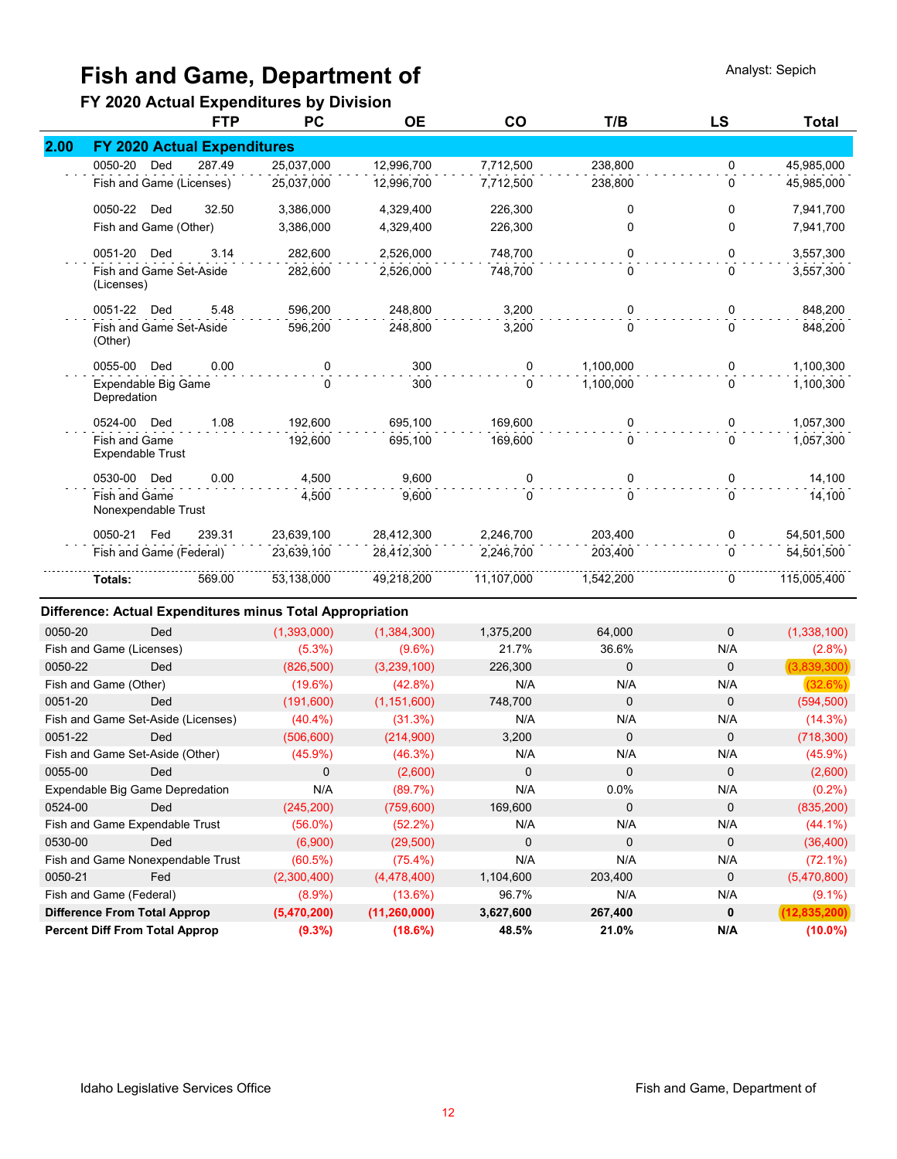# **Fish and Game, Department of Analyst: Sepich Analyst: Sepich**

## **FY 2020 Actual Expenditures by Division**

|      |                                                 | <b>FTP</b> | <b>PC</b>  | <b>OE</b>  | co         | T/B       | <b>LS</b>   | <b>Total</b> |
|------|-------------------------------------------------|------------|------------|------------|------------|-----------|-------------|--------------|
| 2.00 | <b>FY 2020 Actual Expenditures</b>              |            |            |            |            |           |             |              |
|      | 0050-20<br>Ded                                  | 287.49     | 25,037,000 | 12,996,700 | 7,712,500  | 238,800   | 0           | 45,985,000   |
|      | Fish and Game (Licenses)                        |            | 25,037,000 | 12,996,700 | 7,712,500  | 238,800   | $\Omega$    | 45,985,000   |
|      | 0050-22<br>Ded                                  | 32.50      | 3,386,000  | 4,329,400  | 226,300    | 0         | 0           | 7,941,700    |
|      | Fish and Game (Other)                           |            | 3,386,000  | 4,329,400  | 226,300    | 0         | $\Omega$    | 7,941,700    |
|      | 0051-20 Ded                                     | 3.14       | 282,600    | 2,526,000  | 748,700    | 0         | $\Omega$    | 3,557,300    |
|      | Fish and Game Set-Aside<br>(Licenses)           |            | 282,600    | 2,526,000  | 748,700    | 0         | $\Omega$    | 3,557,300    |
|      | 0051-22 Ded                                     | 5.48       | 596,200    | 248,800    | 3,200      | 0         | 0           | 848,200      |
|      | Fish and Game Set-Aside<br>(Other)              |            | 596,200    | 248,800    | 3,200      | 0         | $\Omega$    | 848,200      |
|      | 0055-00<br>Ded                                  | 0.00       | 0          | 300        | $\Omega$   | 1,100,000 | 0           | 1,100,300    |
|      | Expendable Big Game<br>Depredation              |            | 0          | 300        | 0          | 1,100,000 | $\Omega$    | 1,100,300    |
|      | 0524-00<br>Ded                                  | 1.08       | 192,600    | 695,100    | 169,600    | 0         | 0           | 1,057,300    |
|      | <b>Fish and Game</b><br><b>Expendable Trust</b> |            | 192,600    | 695,100    | 169,600    | 0         | $\mathbf 0$ | 1,057,300    |
|      | 0530-00<br>Ded                                  | 0.00       | 4.500      | 9.600      | 0          | 0         | 0           | 14,100       |
|      | <b>Fish and Game</b><br>Nonexpendable Trust     |            | 4,500      | 9,600      | 0          | 0         | 0           | 14,100       |
|      | 0050-21 Fed                                     | 239.31     | 23,639,100 | 28,412,300 | 2,246,700  | 203,400   | 0           | 54,501,500   |
|      | Fish and Game (Federal)                         |            | 23,639,100 | 28,412,300 | 2,246,700  | 203,400   | $\Omega$    | 54,501,500   |
|      | Totals:                                         | 569.00     | 53,138,000 | 49,218,200 | 11,107,000 | 1,542,200 | 0           | 115,005,400  |

#### **Difference: Actual Expenditures minus Total Appropriation**

| 0050-20                  | Ded                                   | (1,393,000) | (1,384,300)    | 1,375,200 | 64,000      | $\Omega$    | (1,338,100)    |
|--------------------------|---------------------------------------|-------------|----------------|-----------|-------------|-------------|----------------|
| Fish and Game (Licenses) |                                       | $(5.3\%)$   | $(9.6\%)$      | 21.7%     | 36.6%       | N/A         | $(2.8\%)$      |
| 0050-22                  | Ded                                   | (826, 500)  | (3,239,100)    | 226,300   | 0           | $\mathbf 0$ | (3,839,300)    |
| Fish and Game (Other)    |                                       | (19.6%)     | $(42.8\%)$     | N/A       | N/A         | N/A         | (32.6%)        |
| 0051-20                  | Ded                                   | (191,600)   | (1, 151, 600)  | 748,700   | 0           | $\mathbf 0$ | (594, 500)     |
|                          | Fish and Game Set-Aside (Licenses)    | $(40.4\%)$  | (31.3%)        | N/A       | N/A         | N/A         | (14.3%)        |
| 0051-22                  | Ded                                   | (506, 600)  | (214,900)      | 3,200     | 0           | $\mathbf 0$ | (718, 300)     |
|                          | Fish and Game Set-Aside (Other)       | $(45.9\%)$  | (46.3%)        | N/A       | N/A         | N/A         | $(45.9\%)$     |
| 0055-00                  | Ded                                   | $\mathbf 0$ | (2,600)        | $\Omega$  | $\mathbf 0$ | $\mathbf 0$ | (2,600)        |
|                          | Expendable Big Game Depredation       | N/A         | (89.7%)        | N/A       | 0.0%        | N/A         | $(0.2\%)$      |
| 0524-00                  | Ded                                   | (245, 200)  | (759,600)      | 169,600   | 0           | $\Omega$    | (835, 200)     |
|                          | Fish and Game Expendable Trust        | $(56.0\%)$  | $(52.2\%)$     | N/A       | N/A         | N/A         | $(44.1\%)$     |
| 0530-00                  | Ded                                   | (6,900)     | (29,500)       | $\Omega$  | $\mathbf 0$ | $\Omega$    | (36, 400)      |
|                          | Fish and Game Nonexpendable Trust     | (60.5%)     | $(75.4\%)$     | N/A       | N/A         | N/A         | $(72.1\%)$     |
| 0050-21                  | Fed                                   | (2,300,400) | (4,478,400)    | 1,104,600 | 203,400     | $\mathbf 0$ | (5,470,800)    |
| Fish and Game (Federal)  |                                       | $(8.9\%)$   | $(13.6\%)$     | 96.7%     | N/A         | N/A         | $(9.1\%)$      |
|                          | <b>Difference From Total Approp</b>   | (5,470,200) | (11, 260, 000) | 3,627,600 | 267,400     | $\mathbf 0$ | (12, 835, 200) |
|                          | <b>Percent Diff From Total Approp</b> | $(9.3\%)$   | (18.6%)        | 48.5%     | 21.0%       | N/A         | $(10.0\%)$     |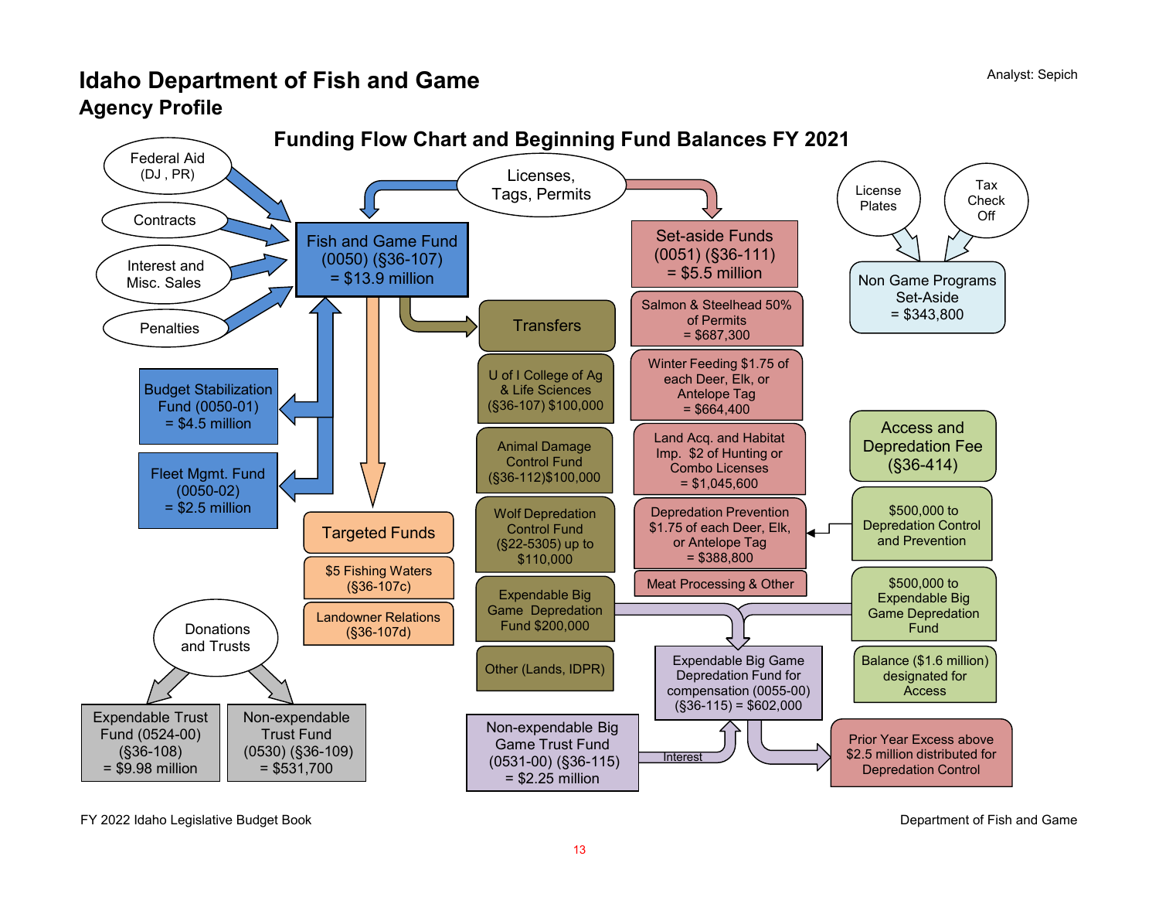# **Idaho Department of Fish and Game Agency Profile**



FY 2022 Idaho Legislative Budget Book Department of Fish and Game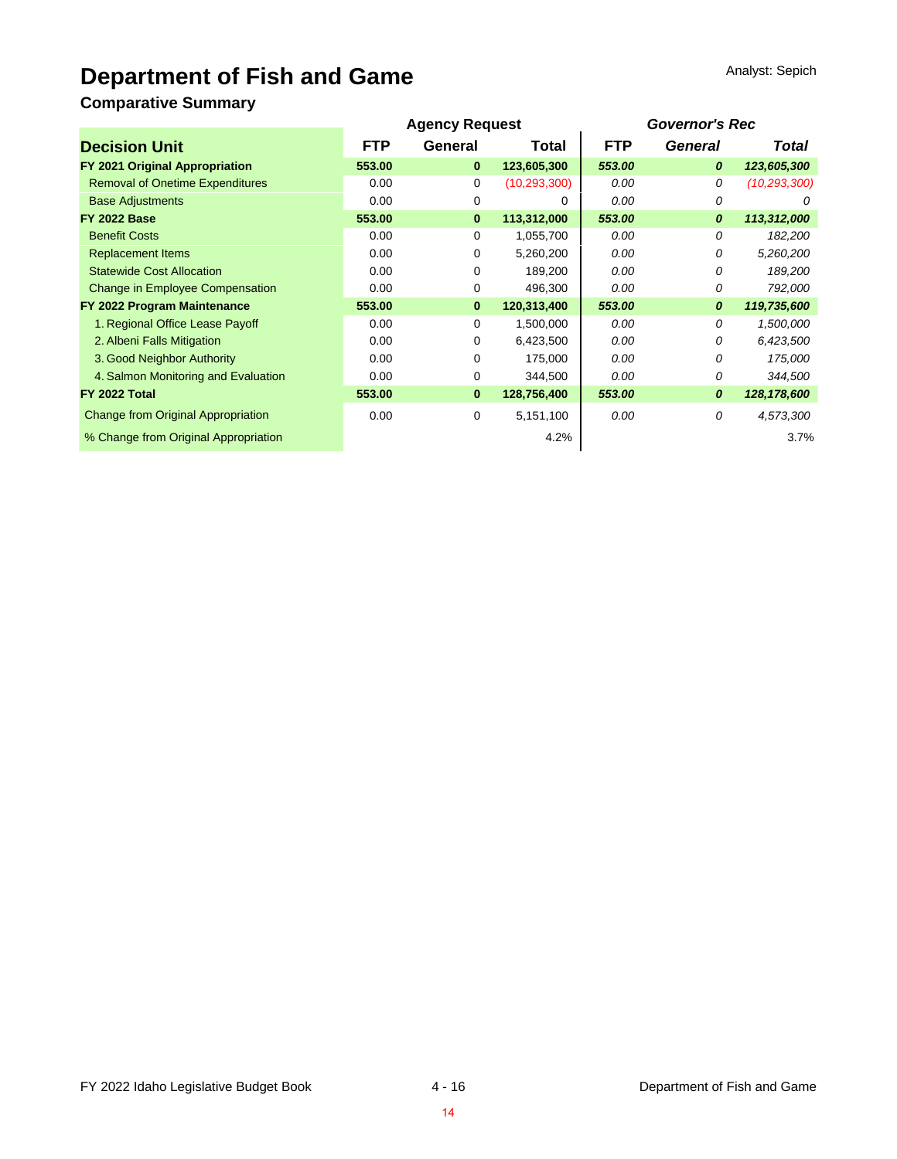# **Department of Fish and Game**

## **Comparative Summary**

|                                           | <b>Agency Request</b> |          | <b>Governor's Rec</b> |            |         |                |
|-------------------------------------------|-----------------------|----------|-----------------------|------------|---------|----------------|
| <b>Decision Unit</b>                      | <b>FTP</b>            | General  | Total                 | <b>FTP</b> | General | Total          |
| FY 2021 Original Appropriation            | 553.00                | $\bf{0}$ | 123,605,300           | 553.00     | 0       | 123,605,300    |
| <b>Removal of Onetime Expenditures</b>    | 0.00                  | 0        | (10, 293, 300)        | 0.00       | 0       | (10, 293, 300) |
| <b>Base Adjustments</b>                   | 0.00                  | 0        | 0                     | 0.00       | 0       | 0              |
| <b>FY 2022 Base</b>                       | 553.00                | $\bf{0}$ | 113,312,000           | 553.00     | 0       | 113,312,000    |
| <b>Benefit Costs</b>                      | 0.00                  | 0        | 1,055,700             | 0.00       | 0       | 182,200        |
| <b>Replacement Items</b>                  | 0.00                  | 0        | 5,260,200             | 0.00       | 0       | 5,260,200      |
| <b>Statewide Cost Allocation</b>          | 0.00                  | 0        | 189,200               | 0.00       | 0       | 189,200        |
| <b>Change in Employee Compensation</b>    | 0.00                  | 0        | 496,300               | 0.00       | 0       | 792,000        |
| FY 2022 Program Maintenance               | 553.00                | $\bf{0}$ | 120,313,400           | 553.00     | 0       | 119,735,600    |
| 1. Regional Office Lease Payoff           | 0.00                  | 0        | 1,500,000             | 0.00       | 0       | 1,500,000      |
| 2. Albeni Falls Mitigation                | 0.00                  | 0        | 6,423,500             | 0.00       | 0       | 6,423,500      |
| 3. Good Neighbor Authority                | 0.00                  | 0        | 175,000               | 0.00       | 0       | 175,000        |
| 4. Salmon Monitoring and Evaluation       | 0.00                  | 0        | 344,500               | 0.00       | 0       | 344,500        |
| <b>FY 2022 Total</b>                      | 553.00                | $\bf{0}$ | 128,756,400           | 553.00     | 0       | 128, 178, 600  |
| <b>Change from Original Appropriation</b> | 0.00                  | 0        | 5,151,100             | 0.00       | 0       | 4,573,300      |
| % Change from Original Appropriation      |                       |          | 4.2%                  |            |         | 3.7%           |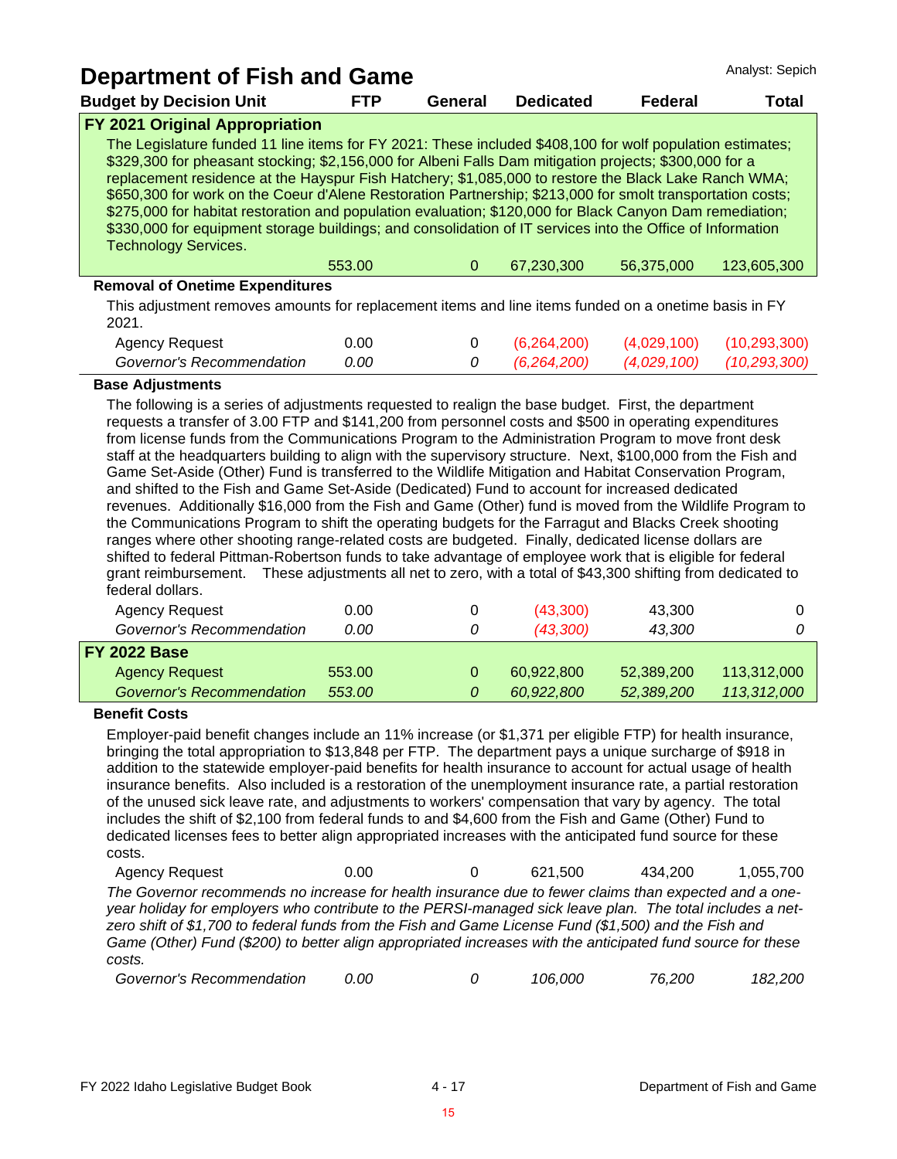| Analyst: Sepich<br><b>Department of Fish and Game</b>                                                                                                                                                                                                                                                                                                                                                                                                                                                                                                                                                                                                                                              |            |          |                  |                |             |  |
|----------------------------------------------------------------------------------------------------------------------------------------------------------------------------------------------------------------------------------------------------------------------------------------------------------------------------------------------------------------------------------------------------------------------------------------------------------------------------------------------------------------------------------------------------------------------------------------------------------------------------------------------------------------------------------------------------|------------|----------|------------------|----------------|-------------|--|
| <b>Budget by Decision Unit</b>                                                                                                                                                                                                                                                                                                                                                                                                                                                                                                                                                                                                                                                                     | <b>FTP</b> | General  | <b>Dedicated</b> | <b>Federal</b> | Total       |  |
| FY 2021 Original Appropriation                                                                                                                                                                                                                                                                                                                                                                                                                                                                                                                                                                                                                                                                     |            |          |                  |                |             |  |
| The Legislature funded 11 line items for FY 2021: These included \$408,100 for wolf population estimates;<br>\$329,300 for pheasant stocking; \$2,156,000 for Albeni Falls Dam mitigation projects; \$300,000 for a<br>replacement residence at the Hayspur Fish Hatchery; \$1,085,000 to restore the Black Lake Ranch WMA;<br>\$650,300 for work on the Coeur d'Alene Restoration Partnership; \$213,000 for smolt transportation costs;<br>\$275,000 for habitat restoration and population evaluation; \$120,000 for Black Canyon Dam remediation;<br>\$330,000 for equipment storage buildings; and consolidation of IT services into the Office of Information<br><b>Technology Services.</b> |            |          |                  |                |             |  |
|                                                                                                                                                                                                                                                                                                                                                                                                                                                                                                                                                                                                                                                                                                    | 553.00     | $\Omega$ | 67,230,300       | 56,375,000     | 123.605.300 |  |
| <b>Removal of Onetime Expenditures</b>                                                                                                                                                                                                                                                                                                                                                                                                                                                                                                                                                                                                                                                             |            |          |                  |                |             |  |
| This adjustment removes amounts for replacement items and line items funded on a onetime basis in FY<br>2021                                                                                                                                                                                                                                                                                                                                                                                                                                                                                                                                                                                       |            |          |                  |                |             |  |

| 2021.                     |      |  |                                            |  |
|---------------------------|------|--|--------------------------------------------|--|
| Agency Request            | 0.00 |  | $(6,264,200)$ $(4,029,100)$ $(10,293,300)$ |  |
| Governor's Recommendation | 0.00 |  | 0 (6,264,200) (4,029,100) (10,293,300)     |  |

#### **Base Adjustments**

The following is a series of adjustments requested to realign the base budget. First, the department requests a transfer of 3.00 FTP and \$141,200 from personnel costs and \$500 in operating expenditures from license funds from the Communications Program to the Administration Program to move front desk staff at the headquarters building to align with the supervisory structure. Next, \$100,000 from the Fish and Game Set-Aside (Other) Fund is transferred to the Wildlife Mitigation and Habitat Conservation Program, and shifted to the Fish and Game Set-Aside (Dedicated) Fund to account for increased dedicated revenues. Additionally \$16,000 from the Fish and Game (Other) fund is moved from the Wildlife Program to the Communications Program to shift the operating budgets for the Farragut and Blacks Creek shooting ranges where other shooting range-related costs are budgeted. Finally, dedicated license dollars are shifted to federal Pittman-Robertson funds to take advantage of employee work that is eligible for federal grant reimbursement. These adjustments all net to zero, with a total of \$43,300 shifting from dedicated to federal dollars.

| Agency Request            | 0.00   |   | (43,300)   | 43,300     |             |
|---------------------------|--------|---|------------|------------|-------------|
| Governor's Recommendation | 0.00   | 0 | (43,300)   | 43,300     |             |
| <b>FY 2022 Base</b>       |        |   |            |            |             |
| <b>Agency Request</b>     | 553.00 |   | 60,922,800 | 52,389,200 | 113,312,000 |
| Governor's Recommendation | 553.00 |   | 60,922,800 | 52,389,200 | 113,312,000 |
|                           |        |   |            |            |             |

#### **Benefit Costs**

Employer-paid benefit changes include an 11% increase (or \$1,371 per eligible FTP) for health insurance, bringing the total appropriation to \$13,848 per FTP. The department pays a unique surcharge of \$918 in addition to the statewide employer-paid benefits for health insurance to account for actual usage of health insurance benefits. Also included is a restoration of the unemployment insurance rate, a partial restoration of the unused sick leave rate, and adjustments to workers' compensation that vary by agency. The total includes the shift of \$2,100 from federal funds to and \$4,600 from the Fish and Game (Other) Fund to dedicated licenses fees to better align appropriated increases with the anticipated fund source for these costs.

Agency Request  $0.00$  0 621,500 434,200 1,055,700 *The Governor recommends no increase for health insurance due to fewer claims than expected and a oneyear holiday for employers who contribute to the PERSI-managed sick leave plan. The total includes a netzero shift of \$1,700 to federal funds from the Fish and Game License Fund (\$1,500) and the Fish and Game (Other) Fund (\$200) to better align appropriated increases with the anticipated fund source for these costs.*

| Governor's Recommendation<br>0.00 |  | 106.000 | 76.200 | 182,200 |
|-----------------------------------|--|---------|--------|---------|
|-----------------------------------|--|---------|--------|---------|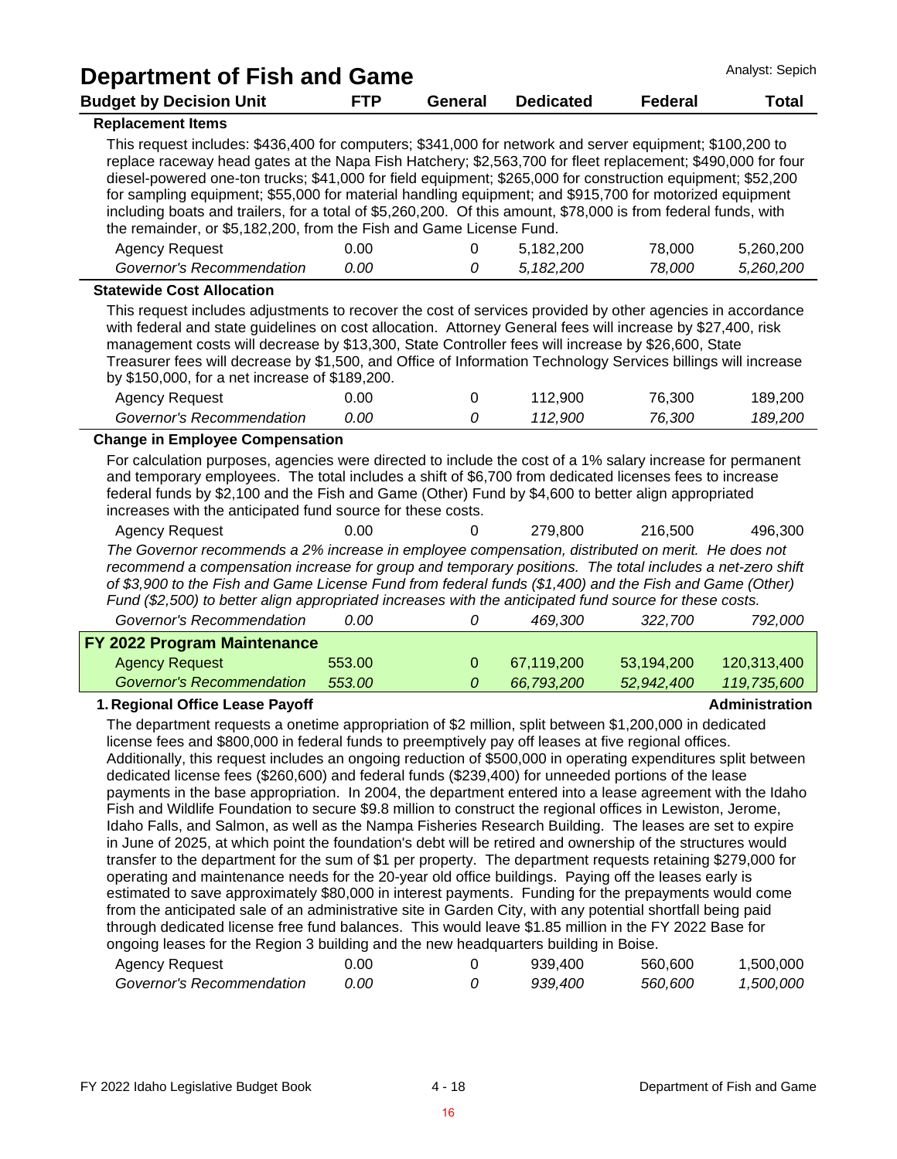| <b>Department of Fish and Game</b>                                                                                                                                                                                                                                                                                                                                                                                                                                                                                                                                                                                                                                                                                                                                                                                                                                                                                                                                                                                                                                                                                                                                                                                                                                                                                                                                                                                                                                                                                                           |            |                |                  |                | Analyst: Sepich       |
|----------------------------------------------------------------------------------------------------------------------------------------------------------------------------------------------------------------------------------------------------------------------------------------------------------------------------------------------------------------------------------------------------------------------------------------------------------------------------------------------------------------------------------------------------------------------------------------------------------------------------------------------------------------------------------------------------------------------------------------------------------------------------------------------------------------------------------------------------------------------------------------------------------------------------------------------------------------------------------------------------------------------------------------------------------------------------------------------------------------------------------------------------------------------------------------------------------------------------------------------------------------------------------------------------------------------------------------------------------------------------------------------------------------------------------------------------------------------------------------------------------------------------------------------|------------|----------------|------------------|----------------|-----------------------|
| <b>Budget by Decision Unit</b>                                                                                                                                                                                                                                                                                                                                                                                                                                                                                                                                                                                                                                                                                                                                                                                                                                                                                                                                                                                                                                                                                                                                                                                                                                                                                                                                                                                                                                                                                                               | <b>FTP</b> | <b>General</b> | <b>Dedicated</b> | <b>Federal</b> | <b>Total</b>          |
| <b>Replacement Items</b>                                                                                                                                                                                                                                                                                                                                                                                                                                                                                                                                                                                                                                                                                                                                                                                                                                                                                                                                                                                                                                                                                                                                                                                                                                                                                                                                                                                                                                                                                                                     |            |                |                  |                |                       |
| This request includes: \$436,400 for computers; \$341,000 for network and server equipment; \$100,200 to<br>replace raceway head gates at the Napa Fish Hatchery; \$2,563,700 for fleet replacement; \$490,000 for four<br>diesel-powered one-ton trucks; \$41,000 for field equipment; \$265,000 for construction equipment; \$52,200<br>for sampling equipment; \$55,000 for material handling equipment; and \$915,700 for motorized equipment<br>including boats and trailers, for a total of \$5,260,200. Of this amount, \$78,000 is from federal funds, with<br>the remainder, or \$5,182,200, from the Fish and Game License Fund.                                                                                                                                                                                                                                                                                                                                                                                                                                                                                                                                                                                                                                                                                                                                                                                                                                                                                                   |            |                |                  |                |                       |
| <b>Agency Request</b>                                                                                                                                                                                                                                                                                                                                                                                                                                                                                                                                                                                                                                                                                                                                                                                                                                                                                                                                                                                                                                                                                                                                                                                                                                                                                                                                                                                                                                                                                                                        | 0.00       | 0              | 5,182,200        | 78,000         | 5,260,200             |
| Governor's Recommendation                                                                                                                                                                                                                                                                                                                                                                                                                                                                                                                                                                                                                                                                                                                                                                                                                                                                                                                                                                                                                                                                                                                                                                                                                                                                                                                                                                                                                                                                                                                    | 0.00       | 0              | 5,182,200        | 78,000         | 5,260,200             |
| <b>Statewide Cost Allocation</b>                                                                                                                                                                                                                                                                                                                                                                                                                                                                                                                                                                                                                                                                                                                                                                                                                                                                                                                                                                                                                                                                                                                                                                                                                                                                                                                                                                                                                                                                                                             |            |                |                  |                |                       |
| This request includes adjustments to recover the cost of services provided by other agencies in accordance<br>with federal and state guidelines on cost allocation. Attorney General fees will increase by \$27,400, risk<br>management costs will decrease by \$13,300, State Controller fees will increase by \$26,600, State<br>Treasurer fees will decrease by \$1,500, and Office of Information Technology Services billings will increase<br>by \$150,000, for a net increase of \$189,200.<br><b>Agency Request</b>                                                                                                                                                                                                                                                                                                                                                                                                                                                                                                                                                                                                                                                                                                                                                                                                                                                                                                                                                                                                                  | 0.00       |                | 112,900          | 76,300         | 189,200               |
| Governor's Recommendation                                                                                                                                                                                                                                                                                                                                                                                                                                                                                                                                                                                                                                                                                                                                                                                                                                                                                                                                                                                                                                                                                                                                                                                                                                                                                                                                                                                                                                                                                                                    | 0.00       | 0<br>0         | 112,900          | 76,300         | 189,200               |
| <b>Change in Employee Compensation</b>                                                                                                                                                                                                                                                                                                                                                                                                                                                                                                                                                                                                                                                                                                                                                                                                                                                                                                                                                                                                                                                                                                                                                                                                                                                                                                                                                                                                                                                                                                       |            |                |                  |                |                       |
| For calculation purposes, agencies were directed to include the cost of a 1% salary increase for permanent<br>and temporary employees. The total includes a shift of \$6,700 from dedicated licenses fees to increase<br>federal funds by \$2,100 and the Fish and Game (Other) Fund by \$4,600 to better align appropriated<br>increases with the anticipated fund source for these costs.<br><b>Agency Request</b><br>The Governor recommends a 2% increase in employee compensation, distributed on merit. He does not<br>recommend a compensation increase for group and temporary positions. The total includes a net-zero shift<br>of \$3,900 to the Fish and Game License Fund from federal funds (\$1,400) and the Fish and Game (Other)                                                                                                                                                                                                                                                                                                                                                                                                                                                                                                                                                                                                                                                                                                                                                                                             | 0.00       | 0              | 279,800          | 216,500        | 496,300               |
| Fund (\$2,500) to better align appropriated increases with the anticipated fund source for these costs.<br>Governor's Recommendation                                                                                                                                                                                                                                                                                                                                                                                                                                                                                                                                                                                                                                                                                                                                                                                                                                                                                                                                                                                                                                                                                                                                                                                                                                                                                                                                                                                                         | 0.00       | 0              | 469,300          | 322,700        | 792,000               |
| FY 2022 Program Maintenance                                                                                                                                                                                                                                                                                                                                                                                                                                                                                                                                                                                                                                                                                                                                                                                                                                                                                                                                                                                                                                                                                                                                                                                                                                                                                                                                                                                                                                                                                                                  |            |                |                  |                |                       |
| <b>Agency Request</b>                                                                                                                                                                                                                                                                                                                                                                                                                                                                                                                                                                                                                                                                                                                                                                                                                                                                                                                                                                                                                                                                                                                                                                                                                                                                                                                                                                                                                                                                                                                        | 553.00     | $\mathbf 0$    | 67,119,200       | 53,194,200     | 120,313,400           |
| <b>Governor's Recommendation</b>                                                                                                                                                                                                                                                                                                                                                                                                                                                                                                                                                                                                                                                                                                                                                                                                                                                                                                                                                                                                                                                                                                                                                                                                                                                                                                                                                                                                                                                                                                             | 553.00     | 0              | 66,793,200       | 52,942,400     | 119,735,600           |
| 1. Regional Office Lease Payoff                                                                                                                                                                                                                                                                                                                                                                                                                                                                                                                                                                                                                                                                                                                                                                                                                                                                                                                                                                                                                                                                                                                                                                                                                                                                                                                                                                                                                                                                                                              |            |                |                  |                | <b>Administration</b> |
| The department requests a onetime appropriation of \$2 million, split between \$1,200,000 in dedicated<br>license fees and \$800,000 in federal funds to preemptively pay off leases at five regional offices.<br>Additionally, this request includes an ongoing reduction of \$500,000 in operating expenditures split between<br>dedicated license fees (\$260,600) and federal funds (\$239,400) for unneeded portions of the lease<br>payments in the base appropriation. In 2004, the department entered into a lease agreement with the Idaho<br>Fish and Wildlife Foundation to secure \$9.8 million to construct the regional offices in Lewiston, Jerome,<br>Idaho Falls, and Salmon, as well as the Nampa Fisheries Research Building. The leases are set to expire<br>in June of 2025, at which point the foundation's debt will be retired and ownership of the structures would<br>transfer to the department for the sum of \$1 per property. The department requests retaining \$279,000 for<br>operating and maintenance needs for the 20-year old office buildings. Paying off the leases early is<br>estimated to save approximately \$80,000 in interest payments. Funding for the prepayments would come<br>from the anticipated sale of an administrative site in Garden City, with any potential shortfall being paid<br>through dedicated license free fund balances. This would leave \$1.85 million in the FY 2022 Base for<br>ongoing leases for the Region 3 building and the new headquarters building in Boise. |            |                |                  |                |                       |

| Agency Request            | 00.د | 939.400 | 560,600 | 1,500,000        |
|---------------------------|------|---------|---------|------------------|
| Governor's Recommendation | 0.00 | 939.400 | 560,600 | <i>1.500.000</i> |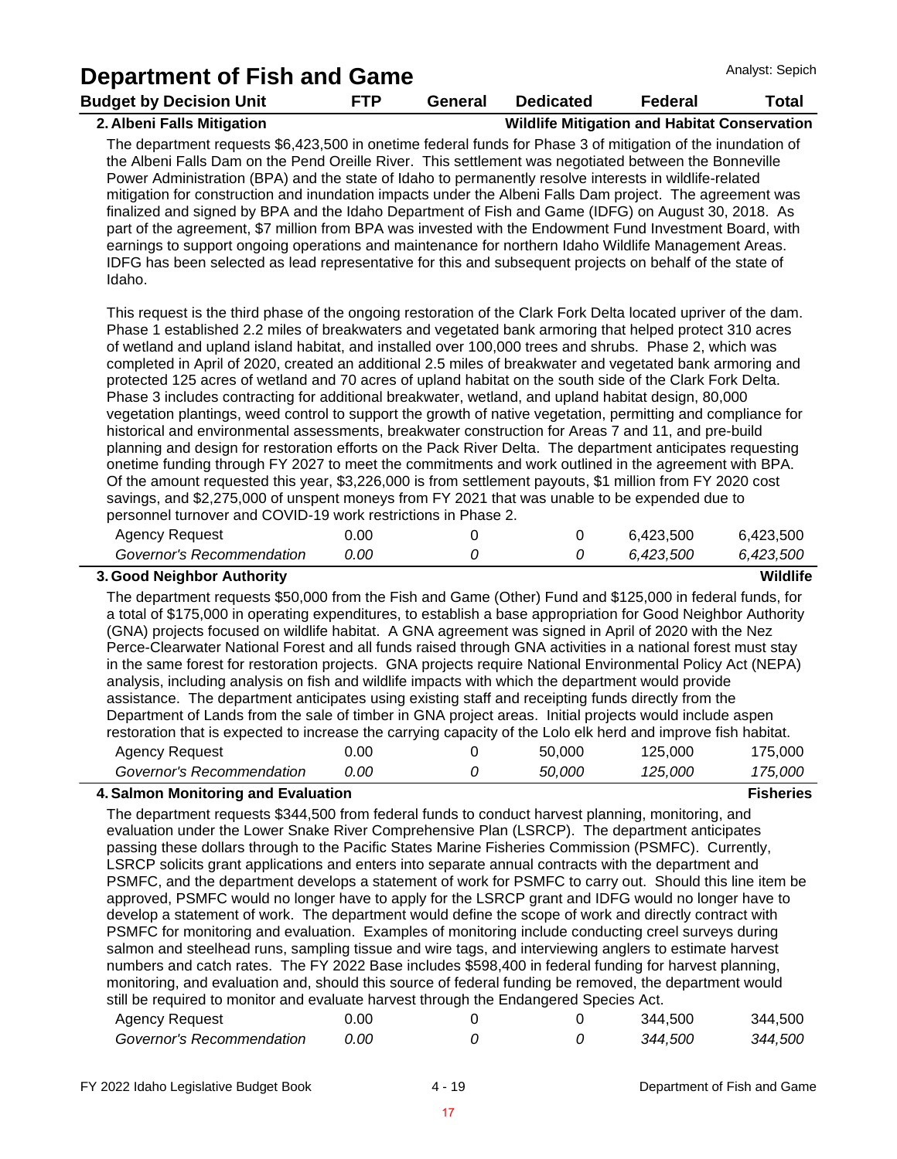|                                                                                                                                                                                                                                                                                                                                                                                                                                                                                                                                                                                                                                                                                                                                                                                                                                                                                                                                                                                                                                                                                                                                                                                                                                                                                                                                                                                             |            |         |                                                     |                | Analyst: Sepich  |
|---------------------------------------------------------------------------------------------------------------------------------------------------------------------------------------------------------------------------------------------------------------------------------------------------------------------------------------------------------------------------------------------------------------------------------------------------------------------------------------------------------------------------------------------------------------------------------------------------------------------------------------------------------------------------------------------------------------------------------------------------------------------------------------------------------------------------------------------------------------------------------------------------------------------------------------------------------------------------------------------------------------------------------------------------------------------------------------------------------------------------------------------------------------------------------------------------------------------------------------------------------------------------------------------------------------------------------------------------------------------------------------------|------------|---------|-----------------------------------------------------|----------------|------------------|
| Department of Fish and Game<br><b>Budget by Decision Unit</b>                                                                                                                                                                                                                                                                                                                                                                                                                                                                                                                                                                                                                                                                                                                                                                                                                                                                                                                                                                                                                                                                                                                                                                                                                                                                                                                               | <b>FTP</b> | General | <b>Dedicated</b>                                    | <b>Federal</b> | <b>Total</b>     |
| 2. Albeni Falls Mitigation                                                                                                                                                                                                                                                                                                                                                                                                                                                                                                                                                                                                                                                                                                                                                                                                                                                                                                                                                                                                                                                                                                                                                                                                                                                                                                                                                                  |            |         | <b>Wildlife Mitigation and Habitat Conservation</b> |                |                  |
| The department requests \$6,423,500 in onetime federal funds for Phase 3 of mitigation of the inundation of<br>the Albeni Falls Dam on the Pend Oreille River. This settlement was negotiated between the Bonneville<br>Power Administration (BPA) and the state of Idaho to permanently resolve interests in wildlife-related<br>mitigation for construction and inundation impacts under the Albeni Falls Dam project. The agreement was<br>finalized and signed by BPA and the Idaho Department of Fish and Game (IDFG) on August 30, 2018. As<br>part of the agreement, \$7 million from BPA was invested with the Endowment Fund Investment Board, with<br>earnings to support ongoing operations and maintenance for northern Idaho Wildlife Management Areas.<br>IDFG has been selected as lead representative for this and subsequent projects on behalf of the state of<br>Idaho.                                                                                                                                                                                                                                                                                                                                                                                                                                                                                                  |            |         |                                                     |                |                  |
| This request is the third phase of the ongoing restoration of the Clark Fork Delta located upriver of the dam.<br>Phase 1 established 2.2 miles of breakwaters and vegetated bank armoring that helped protect 310 acres<br>of wetland and upland island habitat, and installed over 100,000 trees and shrubs. Phase 2, which was<br>completed in April of 2020, created an additional 2.5 miles of breakwater and vegetated bank armoring and<br>protected 125 acres of wetland and 70 acres of upland habitat on the south side of the Clark Fork Delta.<br>Phase 3 includes contracting for additional breakwater, wetland, and upland habitat design, 80,000<br>vegetation plantings, weed control to support the growth of native vegetation, permitting and compliance for<br>historical and environmental assessments, breakwater construction for Areas 7 and 11, and pre-build<br>planning and design for restoration efforts on the Pack River Delta. The department anticipates requesting<br>onetime funding through FY 2027 to meet the commitments and work outlined in the agreement with BPA.<br>Of the amount requested this year, \$3,226,000 is from settlement payouts, \$1 million from FY 2020 cost<br>savings, and \$2,275,000 of unspent moneys from FY 2021 that was unable to be expended due to<br>personnel turnover and COVID-19 work restrictions in Phase 2. |            |         |                                                     |                |                  |
| <b>Agency Request</b>                                                                                                                                                                                                                                                                                                                                                                                                                                                                                                                                                                                                                                                                                                                                                                                                                                                                                                                                                                                                                                                                                                                                                                                                                                                                                                                                                                       | 0.00       | 0       | 0                                                   | 6,423,500      | 6,423,500        |
| Governor's Recommendation                                                                                                                                                                                                                                                                                                                                                                                                                                                                                                                                                                                                                                                                                                                                                                                                                                                                                                                                                                                                                                                                                                                                                                                                                                                                                                                                                                   | 0.00       | 0       | 0                                                   | 6,423,500      | 6,423,500        |
| 3. Good Neighbor Authority                                                                                                                                                                                                                                                                                                                                                                                                                                                                                                                                                                                                                                                                                                                                                                                                                                                                                                                                                                                                                                                                                                                                                                                                                                                                                                                                                                  |            |         |                                                     |                | Wildlife         |
| The department requests \$50,000 from the Fish and Game (Other) Fund and \$125,000 in federal funds, for<br>a total of \$175,000 in operating expenditures, to establish a base appropriation for Good Neighbor Authority<br>(GNA) projects focused on wildlife habitat. A GNA agreement was signed in April of 2020 with the Nez<br>Perce-Clearwater National Forest and all funds raised through GNA activities in a national forest must stay<br>in the same forest for restoration projects. GNA projects require National Environmental Policy Act (NEPA)<br>analysis, including analysis on fish and wildlife impacts with which the department would provide<br>assistance. The department anticipates using existing staff and receipting funds directly from the<br>Department of Lands from the sale of timber in GNA project areas. Initial projects would include aspen<br>restoration that is expected to increase the carrying capacity of the Lolo elk herd and improve fish habitat.                                                                                                                                                                                                                                                                                                                                                                                        |            |         |                                                     |                |                  |
| <b>Agency Request</b>                                                                                                                                                                                                                                                                                                                                                                                                                                                                                                                                                                                                                                                                                                                                                                                                                                                                                                                                                                                                                                                                                                                                                                                                                                                                                                                                                                       | 0.00       | 0       | 50,000                                              | 125,000        | 175,000          |
| Governor's Recommendation                                                                                                                                                                                                                                                                                                                                                                                                                                                                                                                                                                                                                                                                                                                                                                                                                                                                                                                                                                                                                                                                                                                                                                                                                                                                                                                                                                   | 0.00       | 0       | 50,000                                              | 125,000        | 175,000          |
| 4. Salmon Monitoring and Evaluation                                                                                                                                                                                                                                                                                                                                                                                                                                                                                                                                                                                                                                                                                                                                                                                                                                                                                                                                                                                                                                                                                                                                                                                                                                                                                                                                                         |            |         |                                                     |                | <b>Fisheries</b> |
| The department requests \$344,500 from federal funds to conduct hanvest planning monitoring and                                                                                                                                                                                                                                                                                                                                                                                                                                                                                                                                                                                                                                                                                                                                                                                                                                                                                                                                                                                                                                                                                                                                                                                                                                                                                             |            |         |                                                     |                |                  |

The department requests \$344,500 from federal funds to conduct harvest planning, monitoring, and evaluation under the Lower Snake River Comprehensive Plan (LSRCP). The department anticipates passing these dollars through to the Pacific States Marine Fisheries Commission (PSMFC). Currently, LSRCP solicits grant applications and enters into separate annual contracts with the department and PSMFC, and the department develops a statement of work for PSMFC to carry out. Should this line item be approved, PSMFC would no longer have to apply for the LSRCP grant and IDFG would no longer have to develop a statement of work. The department would define the scope of work and directly contract with PSMFC for monitoring and evaluation. Examples of monitoring include conducting creel surveys during salmon and steelhead runs, sampling tissue and wire tags, and interviewing anglers to estimate harvest numbers and catch rates. The FY 2022 Base includes \$598,400 in federal funding for harvest planning, monitoring, and evaluation and, should this source of federal funding be removed, the department would still be required to monitor and evaluate harvest through the Endangered Species Act.

| Agency Request            | .00C |  | 344.500 | 344,500 |
|---------------------------|------|--|---------|---------|
| Governor's Recommendation | 0.00 |  | 344.500 | 344,500 |